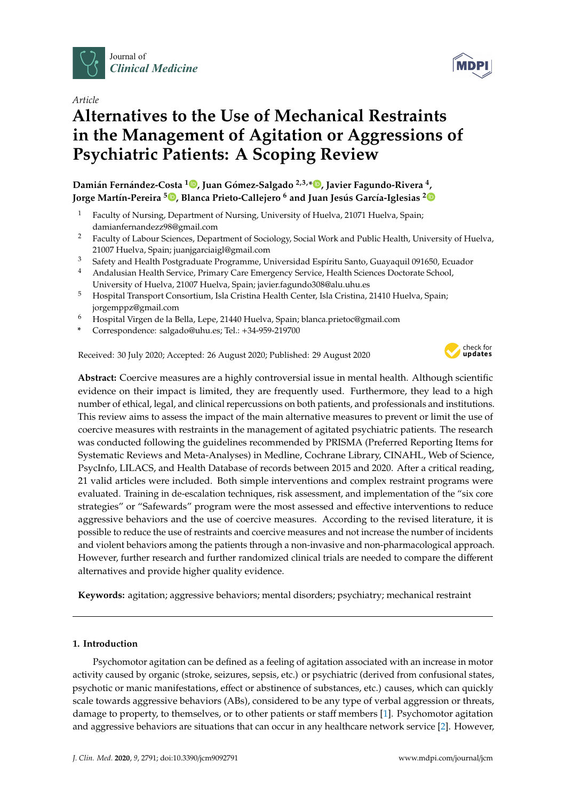

*Article*

# **Alternatives to the Use of Mechanical Restraints in the Management of Agitation or Aggressions of Psychiatric Patients: A Scoping Review**

**Damián Fernández-Costa <sup>1</sup> [,](https://orcid.org/0000-0001-7317-5870) Juan Gómez-Salgado 2,3,[\\*](https://orcid.org/0000-0001-9053-7730) , Javier Fagundo-Rivera <sup>4</sup> , Jorge Martín-Pereira [5](https://orcid.org/0000-0002-9544-1532) , Blanca Prieto-Callejero <sup>6</sup> and Juan Jesús García-Iglesias [2](https://orcid.org/0000-0003-4074-0399)**

- <sup>1</sup> Faculty of Nursing, Department of Nursing, University of Huelva, 21071 Huelva, Spain; damianfernandezz98@gmail.com
- <sup>2</sup> Faculty of Labour Sciences, Department of Sociology, Social Work and Public Health, University of Huelva, 21007 Huelva, Spain; juanjgarciaigl@gmail.com
- <sup>3</sup> Safety and Health Postgraduate Programme, Universidad Espíritu Santo, Guayaquil 091650, Ecuador
- <sup>4</sup> Andalusian Health Service, Primary Care Emergency Service, Health Sciences Doctorate School, University of Huelva, 21007 Huelva, Spain; javier.fagundo308@alu.uhu.es
- <sup>5</sup> Hospital Transport Consortium, Isla Cristina Health Center, Isla Cristina, 21410 Huelva, Spain; jorgemppz@gmail.com
- <sup>6</sup> Hospital Virgen de la Bella, Lepe, 21440 Huelva, Spain; blanca.prietoc@gmail.com
- **\*** Correspondence: salgado@uhu.es; Tel.: +34-959-219700

Received: 30 July 2020; Accepted: 26 August 2020; Published: 29 August 2020



**Abstract:** Coercive measures are a highly controversial issue in mental health. Although scientific evidence on their impact is limited, they are frequently used. Furthermore, they lead to a high number of ethical, legal, and clinical repercussions on both patients, and professionals and institutions. This review aims to assess the impact of the main alternative measures to prevent or limit the use of coercive measures with restraints in the management of agitated psychiatric patients. The research was conducted following the guidelines recommended by PRISMA (Preferred Reporting Items for Systematic Reviews and Meta-Analyses) in Medline, Cochrane Library, CINAHL, Web of Science, PsycInfo, LILACS, and Health Database of records between 2015 and 2020. After a critical reading, 21 valid articles were included. Both simple interventions and complex restraint programs were evaluated. Training in de-escalation techniques, risk assessment, and implementation of the "six core strategies" or "Safewards" program were the most assessed and effective interventions to reduce aggressive behaviors and the use of coercive measures. According to the revised literature, it is possible to reduce the use of restraints and coercive measures and not increase the number of incidents and violent behaviors among the patients through a non-invasive and non-pharmacological approach. However, further research and further randomized clinical trials are needed to compare the different alternatives and provide higher quality evidence.

**Keywords:** agitation; aggressive behaviors; mental disorders; psychiatry; mechanical restraint

# **1. Introduction**

Psychomotor agitation can be defined as a feeling of agitation associated with an increase in motor activity caused by organic (stroke, seizures, sepsis, etc.) or psychiatric (derived from confusional states, psychotic or manic manifestations, effect or abstinence of substances, etc.) causes, which can quickly scale towards aggressive behaviors (ABs), considered to be any type of verbal aggression or threats, damage to property, to themselves, or to other patients or staff members [\[1\]](#page-16-0). Psychomotor agitation and aggressive behaviors are situations that can occur in any healthcare network service [\[2\]](#page-16-1). However,

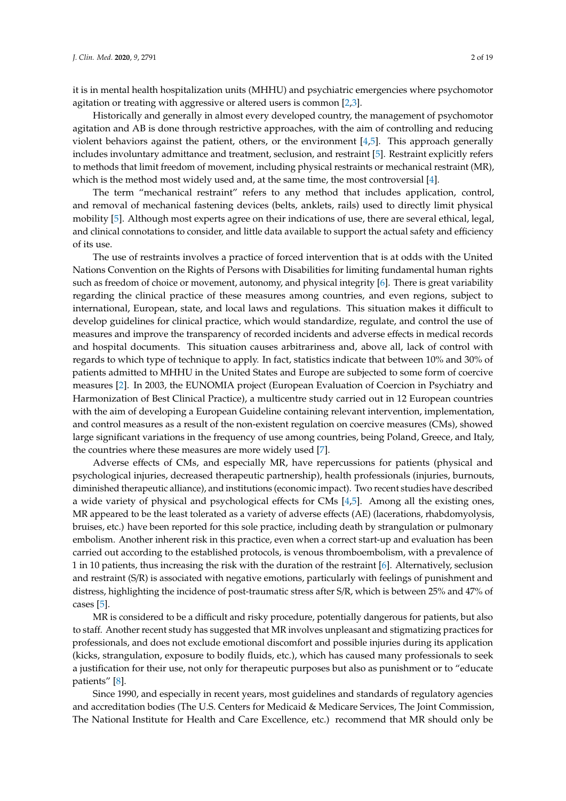it is in mental health hospitalization units (MHHU) and psychiatric emergencies where psychomotor agitation or treating with aggressive or altered users is common [\[2](#page-16-1)[,3\]](#page-16-2).

Historically and generally in almost every developed country, the management of psychomotor agitation and AB is done through restrictive approaches, with the aim of controlling and reducing violent behaviors against the patient, others, or the environment [\[4,](#page-16-3)[5\]](#page-16-4). This approach generally includes involuntary admittance and treatment, seclusion, and restraint [\[5\]](#page-16-4). Restraint explicitly refers to methods that limit freedom of movement, including physical restraints or mechanical restraint (MR), which is the method most widely used and, at the same time, the most controversial [\[4\]](#page-16-3).

The term "mechanical restraint" refers to any method that includes application, control, and removal of mechanical fastening devices (belts, anklets, rails) used to directly limit physical mobility [\[5\]](#page-16-4). Although most experts agree on their indications of use, there are several ethical, legal, and clinical connotations to consider, and little data available to support the actual safety and efficiency of its use.

The use of restraints involves a practice of forced intervention that is at odds with the United Nations Convention on the Rights of Persons with Disabilities for limiting fundamental human rights such as freedom of choice or movement, autonomy, and physical integrity [\[6\]](#page-16-5). There is great variability regarding the clinical practice of these measures among countries, and even regions, subject to international, European, state, and local laws and regulations. This situation makes it difficult to develop guidelines for clinical practice, which would standardize, regulate, and control the use of measures and improve the transparency of recorded incidents and adverse effects in medical records and hospital documents. This situation causes arbitrariness and, above all, lack of control with regards to which type of technique to apply. In fact, statistics indicate that between 10% and 30% of patients admitted to MHHU in the United States and Europe are subjected to some form of coercive measures [\[2\]](#page-16-1). In 2003, the EUNOMIA project (European Evaluation of Coercion in Psychiatry and Harmonization of Best Clinical Practice), a multicentre study carried out in 12 European countries with the aim of developing a European Guideline containing relevant intervention, implementation, and control measures as a result of the non-existent regulation on coercive measures (CMs), showed large significant variations in the frequency of use among countries, being Poland, Greece, and Italy, the countries where these measures are more widely used [\[7\]](#page-16-6).

Adverse effects of CMs, and especially MR, have repercussions for patients (physical and psychological injuries, decreased therapeutic partnership), health professionals (injuries, burnouts, diminished therapeutic alliance), and institutions (economic impact). Two recent studies have described a wide variety of physical and psychological effects for CMs [\[4](#page-16-3)[,5\]](#page-16-4). Among all the existing ones, MR appeared to be the least tolerated as a variety of adverse effects (AE) (lacerations, rhabdomyolysis, bruises, etc.) have been reported for this sole practice, including death by strangulation or pulmonary embolism. Another inherent risk in this practice, even when a correct start-up and evaluation has been carried out according to the established protocols, is venous thromboembolism, with a prevalence of 1 in 10 patients, thus increasing the risk with the duration of the restraint [\[6\]](#page-16-5). Alternatively, seclusion and restraint (S/R) is associated with negative emotions, particularly with feelings of punishment and distress, highlighting the incidence of post-traumatic stress after S/R, which is between 25% and 47% of cases [\[5\]](#page-16-4).

MR is considered to be a difficult and risky procedure, potentially dangerous for patients, but also to staff. Another recent study has suggested that MR involves unpleasant and stigmatizing practices for professionals, and does not exclude emotional discomfort and possible injuries during its application (kicks, strangulation, exposure to bodily fluids, etc.), which has caused many professionals to seek a justification for their use, not only for therapeutic purposes but also as punishment or to "educate patients" [\[8\]](#page-16-7).

Since 1990, and especially in recent years, most guidelines and standards of regulatory agencies and accreditation bodies (The U.S. Centers for Medicaid & Medicare Services, The Joint Commission, The National Institute for Health and Care Excellence, etc.) recommend that MR should only be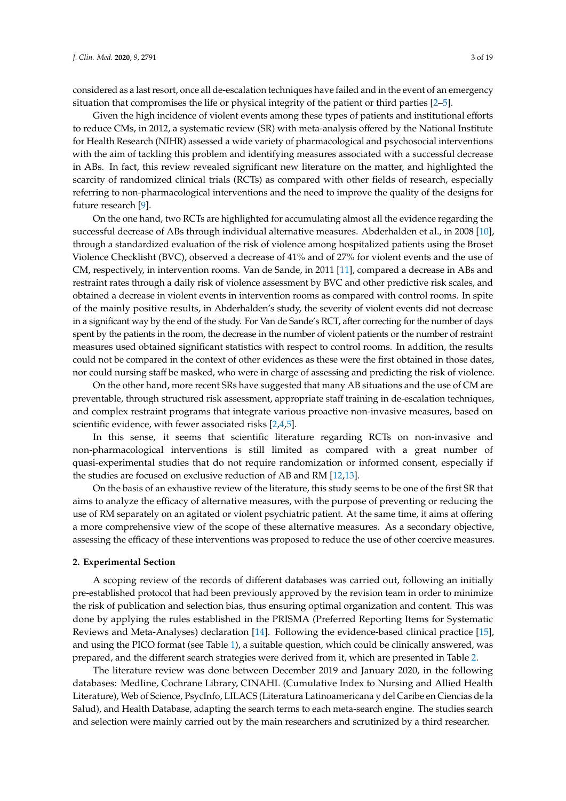considered as a last resort, once all de-escalation techniques have failed and in the event of an emergency situation that compromises the life or physical integrity of the patient or third parties [\[2–](#page-16-1)[5\]](#page-16-4).

Given the high incidence of violent events among these types of patients and institutional efforts to reduce CMs, in 2012, a systematic review (SR) with meta-analysis offered by the National Institute for Health Research (NIHR) assessed a wide variety of pharmacological and psychosocial interventions with the aim of tackling this problem and identifying measures associated with a successful decrease in ABs. In fact, this review revealed significant new literature on the matter, and highlighted the scarcity of randomized clinical trials (RCTs) as compared with other fields of research, especially referring to non-pharmacological interventions and the need to improve the quality of the designs for future research [\[9\]](#page-16-8).

On the one hand, two RCTs are highlighted for accumulating almost all the evidence regarding the successful decrease of ABs through individual alternative measures. Abderhalden et al., in 2008 [\[10\]](#page-16-9), through a standardized evaluation of the risk of violence among hospitalized patients using the Broset Violence Checklisht (BVC), observed a decrease of 41% and of 27% for violent events and the use of CM, respectively, in intervention rooms. Van de Sande, in 2011 [\[11\]](#page-16-10), compared a decrease in ABs and restraint rates through a daily risk of violence assessment by BVC and other predictive risk scales, and obtained a decrease in violent events in intervention rooms as compared with control rooms. In spite of the mainly positive results, in Abderhalden's study, the severity of violent events did not decrease in a significant way by the end of the study. For Van de Sande's RCT, after correcting for the number of days spent by the patients in the room, the decrease in the number of violent patients or the number of restraint measures used obtained significant statistics with respect to control rooms. In addition, the results could not be compared in the context of other evidences as these were the first obtained in those dates, nor could nursing staff be masked, who were in charge of assessing and predicting the risk of violence.

On the other hand, more recent SRs have suggested that many AB situations and the use of CM are preventable, through structured risk assessment, appropriate staff training in de-escalation techniques, and complex restraint programs that integrate various proactive non-invasive measures, based on scientific evidence, with fewer associated risks [\[2,](#page-16-1)[4,](#page-16-3)[5\]](#page-16-4).

In this sense, it seems that scientific literature regarding RCTs on non-invasive and non-pharmacological interventions is still limited as compared with a great number of quasi-experimental studies that do not require randomization or informed consent, especially if the studies are focused on exclusive reduction of AB and RM [\[12,](#page-16-11)[13\]](#page-16-12).

On the basis of an exhaustive review of the literature, this study seems to be one of the first SR that aims to analyze the efficacy of alternative measures, with the purpose of preventing or reducing the use of RM separately on an agitated or violent psychiatric patient. At the same time, it aims at offering a more comprehensive view of the scope of these alternative measures. As a secondary objective, assessing the efficacy of these interventions was proposed to reduce the use of other coercive measures.

#### **2. Experimental Section**

A scoping review of the records of different databases was carried out, following an initially pre-established protocol that had been previously approved by the revision team in order to minimize the risk of publication and selection bias, thus ensuring optimal organization and content. This was done by applying the rules established in the PRISMA (Preferred Reporting Items for Systematic Reviews and Meta-Analyses) declaration [\[14\]](#page-16-13). Following the evidence-based clinical practice [\[15\]](#page-17-0), and using the PICO format (see Table [1\)](#page-3-0), a suitable question, which could be clinically answered, was prepared, and the different search strategies were derived from it, which are presented in Table [2.](#page-4-0)

The literature review was done between December 2019 and January 2020, in the following databases: Medline, Cochrane Library, CINAHL (Cumulative Index to Nursing and Allied Health Literature), Web of Science, PsycInfo, LILACS (Literatura Latinoamericana y del Caribe en Ciencias de la Salud), and Health Database, adapting the search terms to each meta-search engine. The studies search and selection were mainly carried out by the main researchers and scrutinized by a third researcher.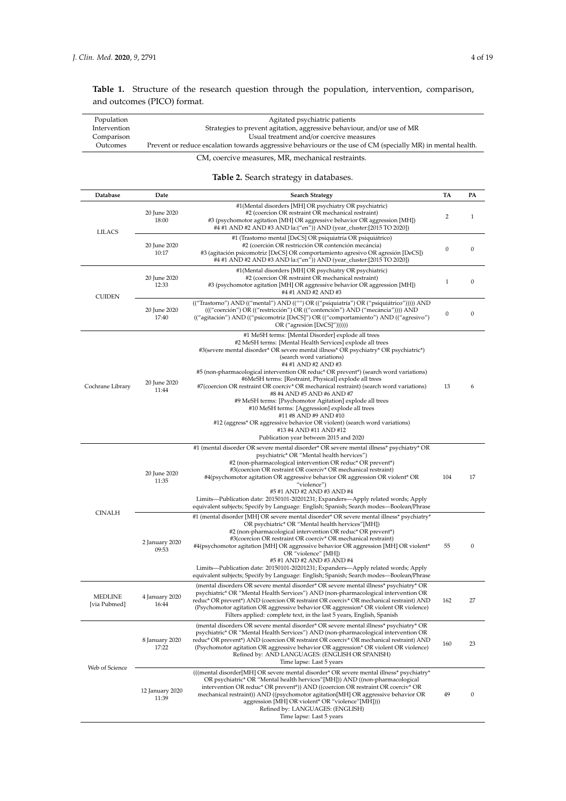<span id="page-3-0"></span>**Table 1.** Structure of the research question through the population, intervention, comparison, and outcomes (PICO) format.

| Population<br>Intervention<br>Comparison<br>Outcomes |                          | Agitated psychiatric patients<br>Strategies to prevent agitation, aggressive behaviour, and/or use of MR<br>Usual treatment and/or coercive measures<br>Prevent or reduce escalation towards aggressive behaviours or the use of CM (specially MR) in mental health.                                                                                                                                                                                                                                                                                                                                                                                                                                                                                                                                                        |                         |                  |  |  |  |  |  |  |  |
|------------------------------------------------------|--------------------------|-----------------------------------------------------------------------------------------------------------------------------------------------------------------------------------------------------------------------------------------------------------------------------------------------------------------------------------------------------------------------------------------------------------------------------------------------------------------------------------------------------------------------------------------------------------------------------------------------------------------------------------------------------------------------------------------------------------------------------------------------------------------------------------------------------------------------------|-------------------------|------------------|--|--|--|--|--|--|--|
|                                                      |                          | CM, coercive measures, MR, mechanical restraints.                                                                                                                                                                                                                                                                                                                                                                                                                                                                                                                                                                                                                                                                                                                                                                           |                         |                  |  |  |  |  |  |  |  |
|                                                      |                          | Table 2. Search strategy in databases.                                                                                                                                                                                                                                                                                                                                                                                                                                                                                                                                                                                                                                                                                                                                                                                      |                         |                  |  |  |  |  |  |  |  |
| Database                                             | Date                     | <b>Search Strategy</b>                                                                                                                                                                                                                                                                                                                                                                                                                                                                                                                                                                                                                                                                                                                                                                                                      | TA                      | PA               |  |  |  |  |  |  |  |
| <b>LILACS</b>                                        | 20 June 2020<br>18:00    | #1(Mental disorders [MH] OR psychiatry OR psychiatric)<br>#2 (coercion OR restraint OR mechanical restraint)<br>#3 (psychomotor agitation [MH] OR aggressive behavior OR aggression [MH])<br>#4 #1 AND #2 AND #3 AND la:("en")) AND (year_cluster:[2015 TO 2020])                                                                                                                                                                                                                                                                                                                                                                                                                                                                                                                                                           | $\overline{\mathbf{c}}$ | $\mathbf{1}$     |  |  |  |  |  |  |  |
|                                                      | 20 June 2020<br>10:17    | #1 (Trastorno mental [DeCS] OR psiquiatría OR psiquiátrico)<br>#2 (coerción OR restricción OR contención mecáncia)<br>#3 (agitación psicomotriz [DeCS] OR comportamiento agresivo OR agresión [DeCS])<br>#4 #1 AND #2 AND #3 AND la:("en")) AND (year_cluster:[2015 TO 2020])                                                                                                                                                                                                                                                                                                                                                                                                                                                                                                                                               | $\boldsymbol{0}$        | $\boldsymbol{0}$ |  |  |  |  |  |  |  |
| <b>CUIDEN</b>                                        | 20 June 2020<br>12:33    | #1(Mental disorders [MH] OR psychiatry OR psychiatric)<br>#2 (coercion OR restraint OR mechanical restraint)<br>#3 (psychomotor agitation [MH] OR aggressive behavior OR aggression [MH])<br>#4 #1 AND #2 AND #3                                                                                                                                                                                                                                                                                                                                                                                                                                                                                                                                                                                                            | $\mathbf{1}$            | $\boldsymbol{0}$ |  |  |  |  |  |  |  |
|                                                      | 20 June 2020<br>17:40    | (("Trastorno") AND (("mental") AND (("") OR (("psiquiatría") OR ("psiquiátrico"))))) AND<br>((("coerción") OR (("restricción") OR (("contención") AND ("mecáncia")))) AND<br>("agitación") AND (("psicomotriz [DeCS]") OR (("comportamiento") AND (("agresivo")<br>OR ("agresión [DeCS]"))))))                                                                                                                                                                                                                                                                                                                                                                                                                                                                                                                              | $\boldsymbol{0}$        | $\boldsymbol{0}$ |  |  |  |  |  |  |  |
| Cochrane Library                                     | 20 June 2020<br>11:44    | #1 MeSH terms: [Mental Disorder] explode all trees<br>#2 MeSH terms: [Mental Health Services] explode all trees<br>#3(severe mental disorder* OR severe mental illness* OR psychiatry* OR psychiatric*)<br>(search word variations)<br>#4 #1 AND #2 AND #3<br>#5 (non-pharmacological intervention OR reduc* OR prevent*) (search word variations)<br>#6MeSH terms: [Restraint, Physical] explode all trees<br>#7(coercion OR restraint OR coerciv* OR mechanical restraint) (search word variations)<br>#8 #4 AND #5 AND #6 AND #7<br>#9 MeSH terms: [Psychomotor Agitation] explode all trees<br>#10 MeSH terms: [Aggression] explode all trees<br>#11 #8 AND #9 AND #10<br>#12 (aggress* OR aggressive behavior OR violent) (search word variations)<br>#13 #4 AND #11 AND #12<br>Publication year between 2015 and 2020 | 13                      | 6                |  |  |  |  |  |  |  |
| <b>CINALH</b>                                        | 20 June 2020<br>11:35    | #1 (mental disorder OR severe mental disorder* OR severe mental illness* psychiatry* OR<br>psychiatric* OR "Mental health hervices")<br>#2 (non-pharmacological intervention OR reduc* OR prevent*)<br>#3(coercion OR restraint OR coerciv* OR mechanical restraint)<br>#4(psychomotor agitation OR aggressive behavior OR aggression OR violent* OR<br>"violence")<br>#5 #1 AND #2 AND #3 AND #4<br>Limits—Publication date: 20150101-20201231; Expanders—Apply related words; Apply<br>equivalent subjects; Specify by Language: English; Spanish; Search modes—Boolean/Phrase                                                                                                                                                                                                                                            | 104                     | 17               |  |  |  |  |  |  |  |
|                                                      | 2 January 2020<br>09:53  | #1 (mental disorder [MH] OR severe mental disorder* OR severe mental illness* psychiatry*<br>OR psychiatric* OR "Mental health hervices"[MH])<br>#2 (non-pharmacological intervention OR reduc* OR prevent*)<br>#3(coercion OR restraint OR coerciv* OR mechanical restraint)<br>#4(psychomotor agitation [MH] OR aggressive behavior OR aggression [MH] OR violent*<br>OR "violence" [MH])<br>#5 #1 AND #2 AND #3 AND #4<br>Limits—Publication date: 20150101-20201231; Expanders—Apply related words; Apply<br>equivalent subjects; Specify by Language: English; Spanish; Search modes—Boolean/Phrase                                                                                                                                                                                                                    | 55                      | $\boldsymbol{0}$ |  |  |  |  |  |  |  |
| <b>MEDLINE</b><br>[via Pubmed]                       | 4 January 2020<br>16:44  | (mental disorders OR severe mental disorder* OR severe mental illness* psychiatry* OR<br>psychiatric* OR "Mental Health Services") AND (non-pharmacological intervention OR<br>reduc* OR prevent*) AND (coercion OR restraint OR coerciv* OR mechanical restraint) AND<br>(Psychomotor agitation OR aggressive behavior OR aggression* OR violent OR violence)<br>Filters applied: complete text, in the last 5 years, English, Spanish                                                                                                                                                                                                                                                                                                                                                                                     | 162                     | 27               |  |  |  |  |  |  |  |
| Web of Science                                       | 8 January 2020<br>17:22  | (mental disorders OR severe mental disorder* OR severe mental illness* psychiatry* OR<br>psychiatric* OR "Mental Health Services") AND (non-pharmacological intervention OR<br>reduc* OR prevent*) AND (coercion OR restraint OR coerciv* OR mechanical restraint) AND<br>(Psychomotor agitation OR aggressive behavior OR aggression* OR violent OR violence)<br>Refined by: AND LANGUAGES: (ENGLISH OR SPANISH)<br>Time lapse: Last 5 years                                                                                                                                                                                                                                                                                                                                                                               | 160                     | 23               |  |  |  |  |  |  |  |
|                                                      | 12 January 2020<br>11:39 | (((mental disorder[MH] OR severe mental disorder* OR severe mental illness* psychiatry*)<br>OR psychiatric* OR "Mental health hervices"[MH])) AND ((non-pharmacological<br>intervention OR reduc* OR prevent*)) AND ((coercion OR restraint OR coerciv* OR<br>mechanical restraint)) AND ((psychomotor agitation[MH] OR aggressive behavior OR<br>aggression [MH] OR violent* OR "violence"[MH])))<br>Refined by: LANGUAGES: (ENGLISH)<br>Time lapse: Last 5 years                                                                                                                                                                                                                                                                                                                                                          | 49                      | 0                |  |  |  |  |  |  |  |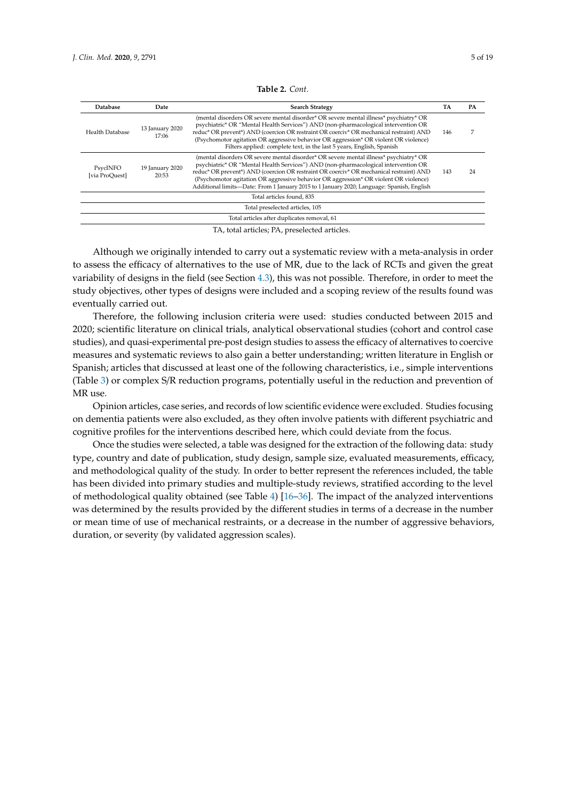<span id="page-4-0"></span>

| <b>Database</b>            | Date                     | <b>Search Strategy</b>                                                                                                                                                                                                                                                                                                                                                                                                                                             | TA  | PA |
|----------------------------|--------------------------|--------------------------------------------------------------------------------------------------------------------------------------------------------------------------------------------------------------------------------------------------------------------------------------------------------------------------------------------------------------------------------------------------------------------------------------------------------------------|-----|----|
| Health Database            | 13 January 2020<br>17:06 | (mental disorders OR severe mental disorder* OR severe mental illness* psychiatry* OR<br>psychiatric* OR "Mental Health Services") AND (non-pharmacological intervention OR<br>reduc* OR prevent*) AND (coercion OR restraint OR coerciv* OR mechanical restraint) AND<br>(Psychomotor agitation OR aggressive behavior OR aggression* OR violent OR violence)<br>Filters applied: complete text, in the last 5 years, English, Spanish                            | 146 |    |
| PsycINFO<br>[via ProQuest] | 19 January 2020<br>20:53 | (mental disorders OR severe mental disorder* OR severe mental illness* psychiatry* OR<br>psychiatric* OR "Mental Health Services") AND (non-pharmacological intervention OR<br>reduc* OR prevent*) AND (coercion OR restraint OR coerciv* OR mechanical restraint) AND<br>143<br>(Psychomotor agitation OR aggressive behavior OR aggression* OR violent OR violence)<br>Additional limits-Date: From 1 January 2015 to 1 January 2020; Language: Spanish, English |     | 24 |
|                            |                          | Total articles found, 835                                                                                                                                                                                                                                                                                                                                                                                                                                          |     |    |
|                            |                          | Total preselected articles, 105                                                                                                                                                                                                                                                                                                                                                                                                                                    |     |    |
|                            |                          | Total articles after duplicates removal, 61                                                                                                                                                                                                                                                                                                                                                                                                                        |     |    |

**Table 2.** *Cont.*

TA, total articles; PA, preselected articles.

Although we originally intended to carry out a systematic review with a meta-analysis in order to assess the efficacy of alternatives to the use of MR, due to the lack of RCTs and given the great variability of designs in the field (see Section [4.3\)](#page-14-0), this was not possible. Therefore, in order to meet the study objectives, other types of designs were included and a scoping review of the results found was eventually carried out.

Therefore, the following inclusion criteria were used: studies conducted between 2015 and 2020; scientific literature on clinical trials, analytical observational studies (cohort and control case studies), and quasi-experimental pre-post design studies to assess the efficacy of alternatives to coercive measures and systematic reviews to also gain a better understanding; written literature in English or Spanish; articles that discussed at least one of the following characteristics, i.e., simple interventions (Table [3\)](#page-5-0) or complex S/R reduction programs, potentially useful in the reduction and prevention of MR use.

Opinion articles, case series, and records of low scientific evidence were excluded. Studies focusing on dementia patients were also excluded, as they often involve patients with different psychiatric and cognitive profiles for the interventions described here, which could deviate from the focus.

Once the studies were selected, a table was designed for the extraction of the following data: study type, country and date of publication, study design, sample size, evaluated measurements, efficacy, and methodological quality of the study. In order to better represent the references included, the table has been divided into primary studies and multiple-study reviews, stratified according to the level of methodological quality obtained (see Table [4\)](#page-7-0) [\[16–](#page-17-1)[36\]](#page-18-0). The impact of the analyzed interventions was determined by the results provided by the different studies in terms of a decrease in the number or mean time of use of mechanical restraints, or a decrease in the number of aggressive behaviors, duration, or severity (by validated aggression scales).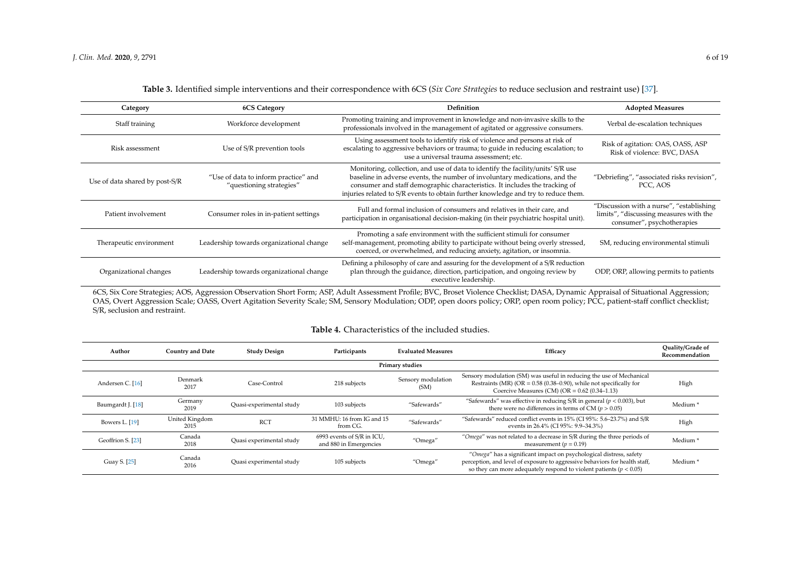| Category                       | <b>6CS Category</b>                                              | Definition                                                                                                                                                                                                                                                                                                                         | <b>Adopted Measures</b>                                                                                          |
|--------------------------------|------------------------------------------------------------------|------------------------------------------------------------------------------------------------------------------------------------------------------------------------------------------------------------------------------------------------------------------------------------------------------------------------------------|------------------------------------------------------------------------------------------------------------------|
| Staff training                 | Workforce development                                            | Promoting training and improvement in knowledge and non-invasive skills to the<br>professionals involved in the management of agitated or aggressive consumers.                                                                                                                                                                    | Verbal de-escalation techniques                                                                                  |
| Risk assessment                | Use of S/R prevention tools                                      | Using assessment tools to identify risk of violence and persons at risk of<br>escalating to aggressive behaviors or trauma; to guide in reducing escalation; to<br>use a universal trauma assessment; etc.                                                                                                                         | Risk of agitation: OAS, OASS, ASP<br>Risk of violence: BVC, DASA                                                 |
| Use of data shared by post-S/R | "Use of data to inform practice" and<br>"questioning strategies" | Monitoring, collection, and use of data to identify the facility/units' S/R use<br>baseline in adverse events, the number of involuntary medications, and the<br>consumer and staff demographic characteristics. It includes the tracking of<br>injuries related to S/R events to obtain further knowledge and try to reduce them. | "Debriefing", "associated risks revision",<br>PCC, AOS                                                           |
| Patient involvement            | Consumer roles in in-patient settings                            | Full and formal inclusion of consumers and relatives in their care, and<br>participation in organisational decision-making (in their psychiatric hospital unit).                                                                                                                                                                   | "Discussion with a nurse", "establishing<br>limits", "discussing measures with the<br>consumer", psychotherapies |
| Therapeutic environment        | Leadership towards organizational change                         | Promoting a safe environment with the sufficient stimuli for consumer<br>self-management, promoting ability to participate without being overly stressed,<br>coerced, or overwhelmed, and reducing anxiety, agitation, or insomnia.                                                                                                | SM, reducing environmental stimuli                                                                               |
| Organizational changes         | Leadership towards organizational change                         | Defining a philosophy of care and assuring for the development of a S/R reduction<br>plan through the guidance, direction, participation, and ongoing review by<br>executive leadership.                                                                                                                                           | ODP, ORP, allowing permits to patients                                                                           |

## **Table 3.** Identified simple interventions and their correspondence with 6CS (*Six Core Strategies* to reduce seclusion and restraint use) [\[37\]](#page-18-1).

<span id="page-5-0"></span>6CS, Six Core Strategies; AOS, Aggression Observation Short Form; ASP, Adult Assessment Profile; BVC, Broset Violence Checklist; DASA, Dynamic Appraisal of Situational Aggression; OAS, Overt Aggression Scale; OASS, Overt Agitation Severity Scale; SM, Sensory Modulation; ODP, open doors policy; ORP, open room policy; PCC, patient-staff conflict checklist; S/R, seclusion and restraint.

### **Table 4.** Characteristics of the included studies.

| Author                 | <b>Country and Date</b> | <b>Study Design</b>      | Participants<br><b>Evaluated Measures</b>            |                            | Efficacy                                                                                                                                                                                                                    | <b>Ouality/Grade of</b><br>Recommendation |  |  |
|------------------------|-------------------------|--------------------------|------------------------------------------------------|----------------------------|-----------------------------------------------------------------------------------------------------------------------------------------------------------------------------------------------------------------------------|-------------------------------------------|--|--|
| <b>Primary studies</b> |                         |                          |                                                      |                            |                                                                                                                                                                                                                             |                                           |  |  |
| Andersen C. [16]       | Denmark<br>2017         | Case-Control             | 218 subjects                                         | Sensory modulation<br>(SM) | Sensory modulation (SM) was useful in reducing the use of Mechanical<br>Restraints (MR) ( $OR = 0.58$ (0.38–0.90), while not specifically for<br>Coercive Measures (CM) (OR = $0.62$ (0.34–1.13)                            | High                                      |  |  |
| Baumgardt J. [18]      | Germany<br>2019         | Quasi-experimental study | 103 subjects                                         | "Safewards"                | "Safewards" was effective in reducing S/R in general ( $p < 0.003$ ), but<br>there were no differences in terms of CM ( $p > 0.05$ )                                                                                        | Medium <sup>*</sup>                       |  |  |
| Bowers L. [19]         | United Kingdom<br>2015  | <b>RCT</b>               | 31 MMHU: 16 from IG and 15<br>from CG.               | "Safewards"                | "Safewards" reduced conflict events in 15% (CI 95%: 5.6-23.7%) and S/R<br>events in 26.4% (CI 95%: 9.9-34.3%)                                                                                                               | High                                      |  |  |
| Geoffrion S. [23]      | Canada<br>2018          | Quasi experimental study | 6993 events of S/R in ICU,<br>and 880 in Emergencies | "Omega"                    | "Omega" was not related to a decrease in S/R during the three periods of<br>measurement ( $p = 0.19$ )                                                                                                                      | Medium <sup>3</sup>                       |  |  |
| Guay S. [25]           | Canada<br>2016          | Quasi experimental study | 105 subjects                                         | "Omega"                    | "Omega" has a significant impact on psychological distress, safety<br>perception, and level of exposure to aggressive behaviors for health staff,<br>so they can more adequately respond to violent patients ( $p < 0.05$ ) | Medium'                                   |  |  |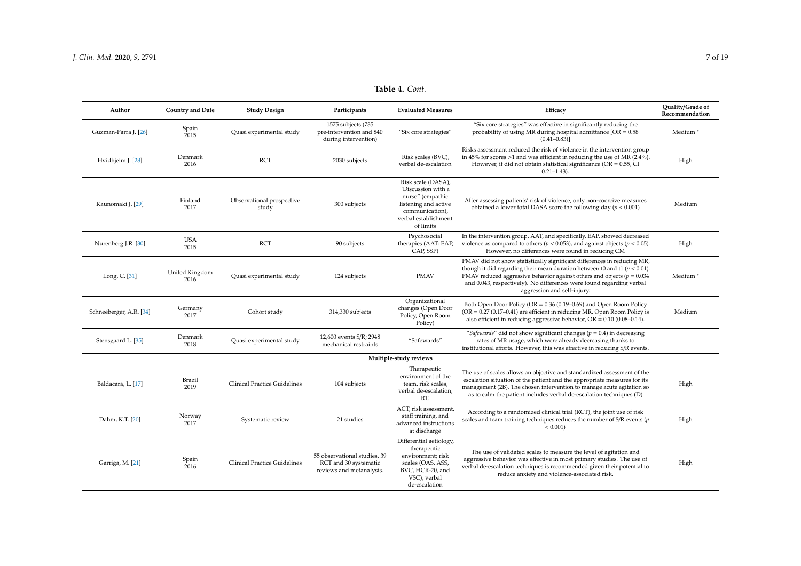# **Table 4.** *Cont.*

| Author                  | <b>Country and Date</b> | <b>Study Design</b>                 | Participants                                                                      | <b>Evaluated Measures</b>                                                                                                                    | Efficacy                                                                                                                                                                                                                                                                                                                                     | Quality/Grade of<br>Recommendation |
|-------------------------|-------------------------|-------------------------------------|-----------------------------------------------------------------------------------|----------------------------------------------------------------------------------------------------------------------------------------------|----------------------------------------------------------------------------------------------------------------------------------------------------------------------------------------------------------------------------------------------------------------------------------------------------------------------------------------------|------------------------------------|
| Guzman-Parra J. [26]    | Spain<br>2015           | Quasi experimental study            | 1575 subjects (735<br>pre-intervention and 840<br>during intervention)            | "Six core strategies"                                                                                                                        | "Six core strategies" was effective in significantly reducing the<br>probability of using MR during hospital admittance $[OR = 0.58]$<br>$(0.41 - 0.83)$ ]                                                                                                                                                                                   | Medium <sup>*</sup>                |
| Hvidhjelm J. [28]       | Denmark<br>2016         | <b>RCT</b>                          | 2030 subjects                                                                     | Risk scales (BVC),<br>verbal de-escalation                                                                                                   | Risks assessment reduced the risk of violence in the intervention group<br>in 45% for scores >1 and was efficient in reducing the use of MR $(2.4\%)$ .<br>However, it did not obtain statistical significance ( $OR = 0.55$ , CI<br>$0.21 - 1.43$ ).                                                                                        | High                               |
| Kaunomaki J. [29]       | Finland<br>2017         | Observational prospective<br>study  | 300 subjects                                                                      | Risk scale (DASA),<br>"Discussion with a<br>nurse" (empathic<br>listening and active<br>communication),<br>verbal establishment<br>of limits | After assessing patients' risk of violence, only non-coercive measures<br>obtained a lower total DASA score the following day ( $p < 0.001$ )                                                                                                                                                                                                | Medium                             |
| Nurenberg J.R. [30]     | <b>USA</b><br>2015      | <b>RCT</b>                          | 90 subjects                                                                       | Psychosocial<br>therapies (AAT: EAP,<br>CAP, SSP)                                                                                            | In the intervention group, AAT, and specifically, EAP, showed decreased<br>violence as compared to others ( $p < 0.053$ ), and against objects ( $p < 0.05$ ).<br>However, no differences were found in reducing CM                                                                                                                          | High                               |
| Long, C. [31]           | United Kingdom<br>2016  | Quasi experimental study            | 124 subjects                                                                      | <b>PMAV</b>                                                                                                                                  | PMAV did not show statistically significant differences in reducing MR,<br>though it did regarding their mean duration between t0 and t1 ( $p < 0.01$ ).<br>PMAV reduced aggressive behavior against others and objects ( $p = 0.034$<br>and 0.043, respectively). No differences were found regarding verbal<br>aggression and self-injury. | Medium <sup>*</sup>                |
| Schneeberger, A.R. [34] | Germany<br>2017         | Cohort study                        | 314,330 subjects                                                                  | Organizational<br>changes (Open Door<br>Policy, Open Room<br>Policy)                                                                         | Both Open Door Policy (OR = 0.36 (0.19-0.69) and Open Room Policy<br>$OR = 0.27 (0.17 - 0.41)$ are efficient in reducing MR. Open Room Policy is<br>also efficient in reducing aggressive behavior, $OR = 0.10$ (0.08–0.14).                                                                                                                 | Medium                             |
| Stensgaard L. [35]      | Denmark<br>2018         | Quasi experimental study            | 12,600 events S/R; 2948<br>mechanical restraints                                  | "Safewards"                                                                                                                                  | "Safewards" did not show significant changes ( $p = 0.4$ ) in decreasing<br>rates of MR usage, which were already decreasing thanks to<br>institutional efforts. However, this was effective in reducing S/R events.                                                                                                                         |                                    |
| Multiple-study reviews  |                         |                                     |                                                                                   |                                                                                                                                              |                                                                                                                                                                                                                                                                                                                                              |                                    |
| Baldacara, L. [17]      | Brazil<br>2019          | <b>Clinical Practice Guidelines</b> | 104 subjects                                                                      | Therapeutic<br>environment of the<br>team, risk scales,<br>verbal de-escalation,<br>RT.                                                      | The use of scales allows an objective and standardized assessment of the<br>escalation situation of the patient and the appropriate measures for its<br>management (2B). The chosen intervention to manage acute agitation so<br>as to calm the patient includes verbal de-escalation techniques (D)                                         | High                               |
| Dahm, K.T. [20]         | Norway<br>2017          | Systematic review                   | 21 studies                                                                        | ACT, risk assessment,<br>staff training, and<br>advanced instructions<br>at discharge                                                        | According to a randomized clinical trial (RCT), the joint use of risk<br>scales and team training techniques reduces the number of $S/R$ events ( $p$<br>< 0.001                                                                                                                                                                             | High                               |
| Garriga, M. [21]        | Spain<br>2016           | <b>Clinical Practice Guidelines</b> | 55 observational studies, 39<br>RCT and 30 systematic<br>reviews and metanalysis. | Differential aetiology,<br>therapeutic<br>environment: risk<br>scales (OAS, ASS,<br>BVC, HCR-20, and<br>VSC); verbal<br>de-escalation        | The use of validated scales to measure the level of agitation and<br>aggressive behavior was effective in most primary studies. The use of<br>verbal de-escalation techniques is recommended given their potential to<br>reduce anxiety and violence-associated risk.                                                                        | High                               |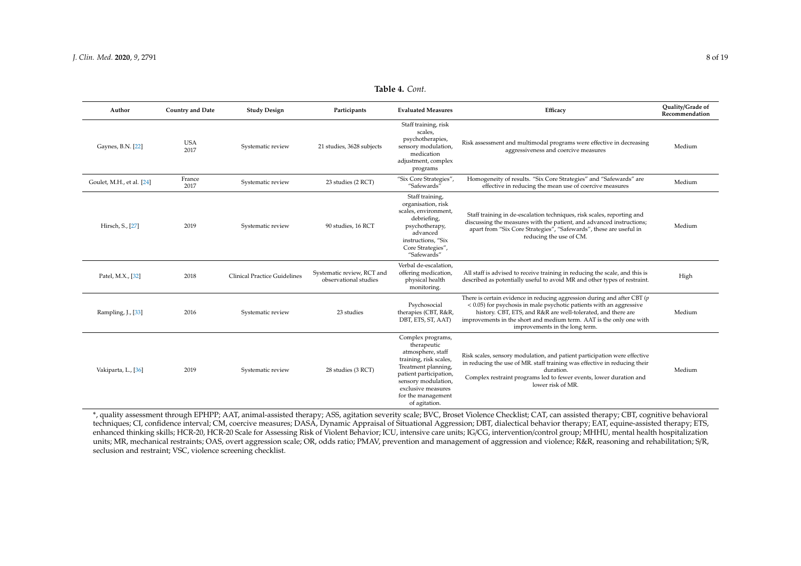## **Table 4.** *Cont.*

| Author                    | <b>Country and Date</b> | <b>Study Design</b>                 | Participants                                        | <b>Evaluated Measures</b>                                                                                                                                                                                            | Efficacy                                                                                                                                                                                                                                                                                                                       | <b>Ouality/Grade of</b><br>Recommendation |
|---------------------------|-------------------------|-------------------------------------|-----------------------------------------------------|----------------------------------------------------------------------------------------------------------------------------------------------------------------------------------------------------------------------|--------------------------------------------------------------------------------------------------------------------------------------------------------------------------------------------------------------------------------------------------------------------------------------------------------------------------------|-------------------------------------------|
| Gaynes, B.N. [22]         | <b>USA</b><br>2017      | Systematic review                   | 21 studies, 3628 subjects                           | Staff training, risk<br>scales,<br>psychotherapies,<br>sensory modulation,<br>medication<br>adjustment, complex<br>programs                                                                                          | Risk assessment and multimodal programs were effective in decreasing<br>aggressiveness and coercive measures                                                                                                                                                                                                                   | Medium                                    |
| Goulet, M.H., et al. [24] | France<br>2017          | Systematic review                   | 23 studies (2 RCT)                                  | "Six Core Strategies",<br>"Safewards"                                                                                                                                                                                | Homogeneity of results. "Six Core Strategies" and "Safewards" are<br>effective in reducing the mean use of coercive measures                                                                                                                                                                                                   | Medium                                    |
| Hirsch, S., [27]          | 2019                    | Systematic review                   | 90 studies, 16 RCT                                  | Staff training,<br>organisation, risk<br>scales, environment,<br>debriefing,<br>psychotherapy,<br>advanced<br>instructions, "Six<br>Core Strategies",<br>"Safewards"                                                 | Staff training in de-escalation techniques, risk scales, reporting and<br>discussing the measures with the patient, and advanced instructions;<br>apart from "Six Core Strategies", "Safewards", these are useful in<br>reducing the use of CM.                                                                                | Medium                                    |
| Patel, M.X., [32]         | 2018                    | <b>Clinical Practice Guidelines</b> | Systematic review, RCT and<br>observational studies | Verbal de-escalation,<br>offering medication,<br>physical health<br>monitoring.                                                                                                                                      | All staff is advised to receive training in reducing the scale, and this is<br>described as potentially useful to avoid MR and other types of restraint.                                                                                                                                                                       | High                                      |
| Rampling, J., [33]        | 2016                    | Systematic review                   | 23 studies                                          | Psychosocial<br>therapies (CBT, R&R,<br>DBT, ETS, ST, AAT)                                                                                                                                                           | There is certain evidence in reducing aggression during and after CBT $(p)$<br>$< 0.05$ ) for psychosis in male psychotic patients with an aggressive<br>history. CBT, ETS, and R&R are well-tolerated, and there are<br>improvements in the short and medium term. AAT is the only one with<br>improvements in the long term. | Medium                                    |
| Vakiparta, L., [36]       | 2019                    | Systematic review                   | 28 studies (3 RCT)                                  | Complex programs,<br>therapeutic<br>atmosphere, staff<br>training, risk scales,<br>Treatment planning,<br>patient participation,<br>sensory modulation,<br>exclusive measures<br>for the management<br>of agitation. | Risk scales, sensory modulation, and patient participation were effective<br>in reducing the use of MR. staff training was effective in reducing their<br>duration.<br>Complex restraint programs led to fewer events, lower duration and<br>lower risk of MR.                                                                 | Medium                                    |

<span id="page-7-0"></span>\*, quality assessment through EPHPP; AAT, animal-assisted therapy; ASS, agitation severity scale; BVC, Broset Violence Checklist; CAT, can assisted therapy; CBT, cognitive behavioral techniques; CI, confidence interval; CM, coercive measures; DASA, Dynamic Appraisal of Situational Aggression; DBT, dialectical behavior therapy; EAT, equine-assisted therapy; ETS, enhanced thinking skills; HCR-20, HCR-20 Scale for Assessing Risk of Violent Behavior; ICU, intensive care units; IG/CG, intervention/control group; MHHU, mental health hospitalization units; MR, mechanical restraints; OAS, overt aggression scale; OR, odds ratio; PMAV, prevention and management of aggression and violence; R&R, reasoning and rehabilitation; S/R, seclusion and restraint; VSC, violence screening checklist.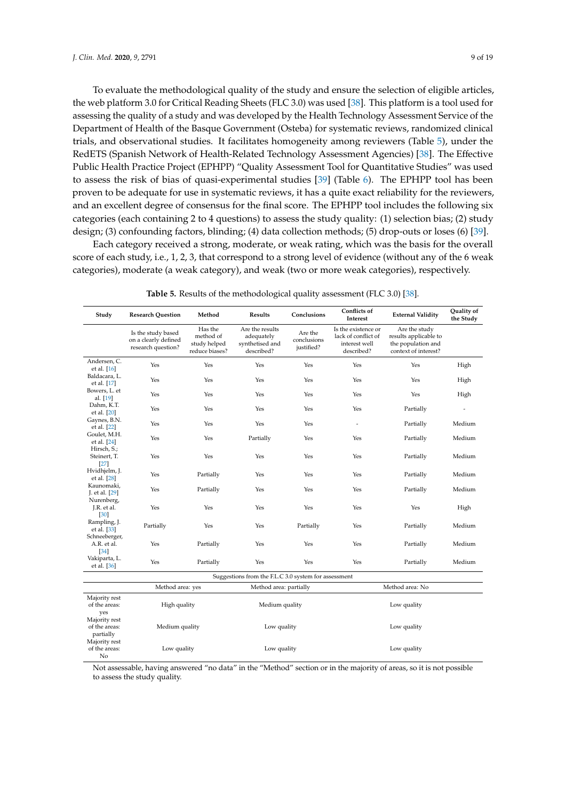To evaluate the methodological quality of the study and ensure the selection of eligible articles, the web platform 3.0 for Critical Reading Sheets (FLC 3.0) was used [\[38\]](#page-18-7). This platform is a tool used for assessing the quality of a study and was developed by the Health Technology Assessment Service of the Department of Health of the Basque Government (Osteba) for systematic reviews, randomized clinical trials, and observational studies. It facilitates homogeneity among reviewers (Table [5\)](#page-8-0), under the RedETS (Spanish Network of Health-Related Technology Assessment Agencies) [\[38\]](#page-18-7). The Effective Public Health Practice Project (EPHPP) "Quality Assessment Tool for Quantitative Studies" was used to assess the risk of bias of quasi-experimental studies [\[39\]](#page-18-8) (Table [6\)](#page-9-0). The EPHPP tool has been proven to be adequate for use in systematic reviews, it has a quite exact reliability for the reviewers, and an excellent degree of consensus for the final score. The EPHPP tool includes the following six categories (each containing 2 to 4 questions) to assess the study quality: (1) selection bias; (2) study design; (3) confounding factors, blinding; (4) data collection methods; (5) drop-outs or loses (6) [\[39\]](#page-18-8).

Each category received a strong, moderate, or weak rating, which was the basis for the overall score of each study, i.e., 1, 2, 3, that correspond to a strong level of evidence (without any of the 6 weak categories), moderate (a weak category), and weak (two or more weak categories), respectively.

<span id="page-8-0"></span>

| Study                                              | <b>Research Question</b>                                         | Method                                                 | Results                                                        | Conclusions                          | Conflicts of<br>Interest                                                  | <b>External Validity</b>                                                             | Quality of<br>the Study |  |
|----------------------------------------------------|------------------------------------------------------------------|--------------------------------------------------------|----------------------------------------------------------------|--------------------------------------|---------------------------------------------------------------------------|--------------------------------------------------------------------------------------|-------------------------|--|
|                                                    | Is the study based<br>on a clearly defined<br>research question? | Has the<br>method of<br>study helped<br>reduce biases? | Are the results<br>adequately<br>synthetised and<br>described? | Are the<br>conclusions<br>justified? | Is the existence or<br>lack of conflict of<br>interest well<br>described? | Are the study<br>results applicable to<br>the population and<br>context of interest? |                         |  |
| Andersen, C.<br>et al. [16]                        | Yes                                                              | Yes                                                    | Yes                                                            | Yes                                  | Yes                                                                       | Yes                                                                                  | High                    |  |
| Baldacara, L.<br>et al. [17]                       | Yes                                                              | Yes                                                    | Yes                                                            | Yes                                  | Yes                                                                       | Yes                                                                                  | High                    |  |
| Bowers, L. et<br>al. [19]                          | Yes                                                              | Yes                                                    | Yes                                                            | Yes                                  | Yes                                                                       | Yes                                                                                  | High                    |  |
| Dahm, K.T.<br>et al. [20]                          | Yes                                                              | Yes                                                    | Yes                                                            | Yes                                  | Yes                                                                       | Partially                                                                            |                         |  |
| Gaynes, B.N.<br>et al. [22]                        | Yes                                                              | Yes                                                    | Yes                                                            | Yes                                  | ٠                                                                         | Partially                                                                            | Medium                  |  |
| Goulet, M.H.<br>et al. [24]                        | Yes                                                              | Yes                                                    | Partially                                                      | Yes                                  | Yes                                                                       | Partially                                                                            | Medium                  |  |
| Hirsch, S.;<br>Steinert, T.<br>$[27]$              | Yes                                                              | Yes                                                    | Yes                                                            | Yes                                  | Yes                                                                       | Partially                                                                            | Medium                  |  |
| Hvidhjelm, J.<br>et al. [28]                       | Yes                                                              | Partially                                              | Yes                                                            | Yes                                  | Yes                                                                       | Partially                                                                            | Medium                  |  |
| Kaunomaki,<br>J. et al. [29]                       | Yes                                                              | Partially                                              | Yes                                                            | Yes                                  | Yes                                                                       | Partially                                                                            | Medium                  |  |
| Nurenberg,<br>J.R. et al.<br>[30]                  | Yes                                                              | Yes                                                    | Yes                                                            | Yes                                  | Yes                                                                       | Yes                                                                                  | High                    |  |
| Rampling, J.<br>et al. [33]                        | Partially                                                        | Yes                                                    | Yes                                                            | Partially                            | Yes                                                                       | Partially                                                                            | Medium                  |  |
| Schneeberger,<br>A.R. et al.<br>$[34]$             | Yes                                                              | Partially                                              | Yes                                                            | Yes                                  | Yes                                                                       | Partially                                                                            | Medium                  |  |
| Vakiparta, L.<br>et al. [36]                       | Yes                                                              | Partially                                              | Yes                                                            | Yes                                  | Yes                                                                       | Partially                                                                            | Medium                  |  |
|                                                    |                                                                  |                                                        | Suggestions from the F.L.C 3.0 system for assessment           |                                      |                                                                           |                                                                                      |                         |  |
|                                                    | Method area: yes                                                 |                                                        |                                                                | Method area: partially               |                                                                           | Method area: No                                                                      |                         |  |
| Majority rest<br>of the areas:                     | High quality                                                     |                                                        |                                                                | Medium quality                       |                                                                           | Low quality                                                                          |                         |  |
| yes<br>Majority rest<br>of the areas:<br>partially | Medium quality                                                   |                                                        |                                                                | Low quality                          |                                                                           | Low quality                                                                          |                         |  |
| Majority rest<br>of the areas:<br>No               | Low quality                                                      |                                                        | Low quality                                                    |                                      | Low quality                                                               |                                                                                      |                         |  |

**Table 5.** Results of the methodological quality assessment (FLC 3.0) [\[38\]](#page-18-7).

Not assessable, having answered "no data" in the "Method" section or in the majority of areas, so it is not possible to assess the study quality.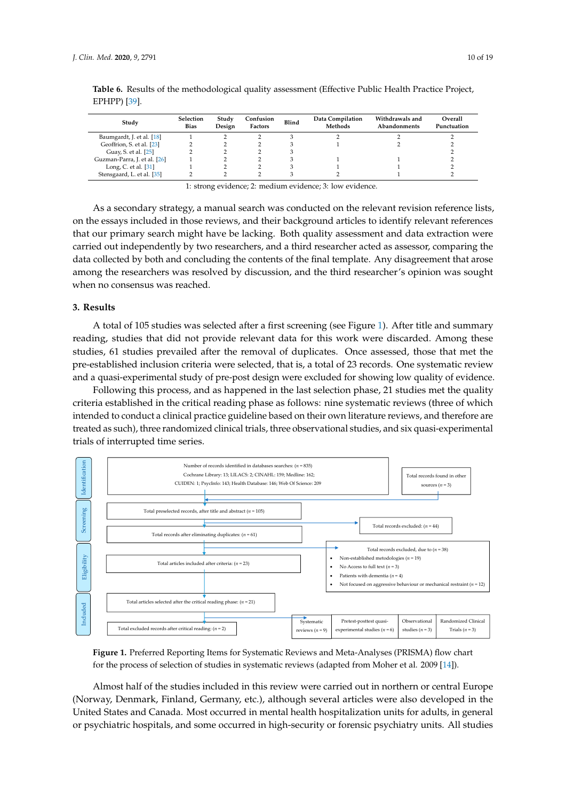| Study                        | Selection<br>Bias | Study<br>Design | Confusion<br><b>Factors</b> | Blind | Data Compilation<br>Methods | Withdrawals and<br>Abandonments | Overall<br>Punctuation |
|------------------------------|-------------------|-----------------|-----------------------------|-------|-----------------------------|---------------------------------|------------------------|
| Baumgardt, J. et al. [18]    |                   |                 |                             |       |                             |                                 |                        |
| Geoffrion, S. et al. [23]    |                   |                 |                             |       |                             |                                 |                        |
| Guay, S. et al. [25]         |                   |                 |                             |       |                             |                                 |                        |
| Guzman-Parra, J. et al. [26] |                   |                 |                             |       |                             |                                 |                        |
| Long, C. et al. $[31]$       |                   |                 |                             |       |                             |                                 |                        |
| Stensgaard, L. et al. [35]   |                   |                 |                             |       |                             |                                 |                        |

<span id="page-9-0"></span>**Table 6.** Results of the methodological quality assessment (Effective Public Health Practice Project, EPHPP) [\[39\]](#page-18-8).

1: strong evidence; 2: medium evidence; 3: low evidence.

As a secondary strategy, a manual search was conducted on the relevant revision reference lists, on the essays included in those reviews, and their background articles to identify relevant references that our primary search might have be lacking. Both quality assessment and data extraction were carried out independently by two researchers, and a third researcher acted as assessor, comparing the data collected by both and concluding the contents of the final template. Any disagreement that arose among the researchers was resolved by discussion, and the third researcher's opinion was sought when no consensus was reached.

# **3. Results**

A total of 105 studies was selected after a first screening (see Figure [1\)](#page-9-1). After title and summary reading, studies that did not provide relevant data for this work were discarded. Among these studies, 61 studies prevailed after the removal of duplicates. Once assessed, those that met the pre-established inclusion criteria were selected, that is, a total of 23 records. One systematic review and a quasi-experimental study of pre-post design were excluded for showing low quality of evidence.

Following this process, and as happened in the last selection phase, 21 studies met the quality criteria established in the critical reading phase as follows: nine systematic reviews (three of which intended to conduct a clinical practice guideline based on their own literature reviews, and therefore are treated as such), three randomized clinical trials, three observational studies, and six quasi-experimental trials of interrupted time series.

<span id="page-9-1"></span>

Figure 1. Preferred Reporting Items for Systematic Reviews and Meta-Analyses (PRISMA) flow chart for the process of selection of studies in systematic reviews (adapted from Moher et al. 2009 [\[14\]](#page-16-13)).

Almost half of the studies included in this review were carried out in northern or central Europe (Norway, Denmark, Finland, Germany, etc.), although several articles were also developed in the United States and Canada. Most occurred in mental health hospitalization units for adults, in general or psychiatric hospitals, and some occurred in high-security or forensic psychiatry units. All studies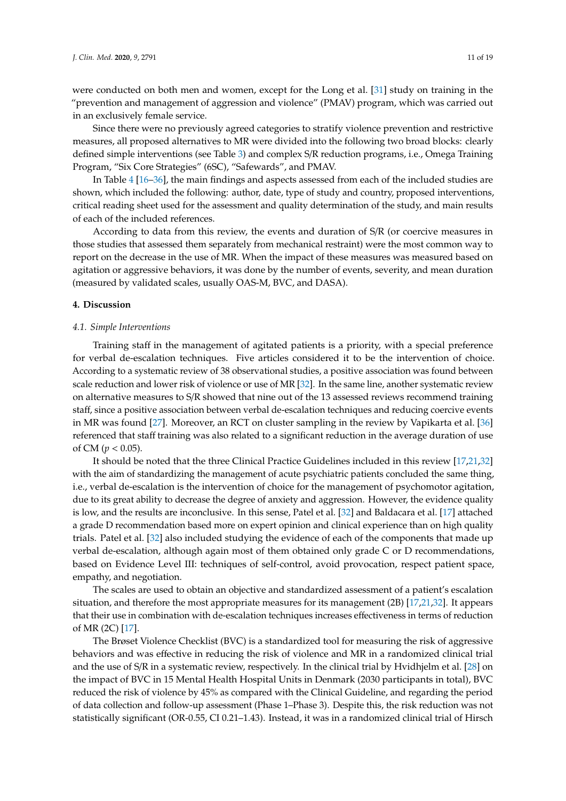were conducted on both men and women, except for the Long et al. [\[31\]](#page-17-31) study on training in the "prevention and management of aggression and violence" (PMAV) program, which was carried out in an exclusively female service.

Since there were no previously agreed categories to stratify violence prevention and restrictive measures, all proposed alternatives to MR were divided into the following two broad blocks: clearly defined simple interventions (see Table [3\)](#page-5-0) and complex S/R reduction programs, i.e., Omega Training Program, "Six Core Strategies" (6SC), "Safewards", and PMAV.

In Table [4](#page-7-0) [\[16](#page-17-1)[–36\]](#page-18-0), the main findings and aspects assessed from each of the included studies are shown, which included the following: author, date, type of study and country, proposed interventions, critical reading sheet used for the assessment and quality determination of the study, and main results of each of the included references.

According to data from this review, the events and duration of S/R (or coercive measures in those studies that assessed them separately from mechanical restraint) were the most common way to report on the decrease in the use of MR. When the impact of these measures was measured based on agitation or aggressive behaviors, it was done by the number of events, severity, and mean duration (measured by validated scales, usually OAS-M, BVC, and DASA).

## **4. Discussion**

## *4.1. Simple Interventions*

Training staff in the management of agitated patients is a priority, with a special preference for verbal de-escalation techniques. Five articles considered it to be the intervention of choice. According to a systematic review of 38 observational studies, a positive association was found between scale reduction and lower risk of violence or use of MR [\[32\]](#page-18-12). In the same line, another systematic review on alternative measures to S/R showed that nine out of the 13 assessed reviews recommend training staff, since a positive association between verbal de-escalation techniques and reducing coercive events in MR was found [\[27\]](#page-17-23). Moreover, an RCT on cluster sampling in the review by Vapikarta et al. [\[36\]](#page-18-0) referenced that staff training was also related to a significant reduction in the average duration of use of CM ( $p < 0.05$ ).

It should be noted that the three Clinical Practice Guidelines included in this review [\[17](#page-17-18)[,21](#page-17-17)[,32\]](#page-18-12) with the aim of standardizing the management of acute psychiatric patients concluded the same thing, i.e., verbal de-escalation is the intervention of choice for the management of psychomotor agitation, due to its great ability to decrease the degree of anxiety and aggression. However, the evidence quality is low, and the results are inconclusive. In this sense, Patel et al. [\[32\]](#page-18-12) and Baldacara et al. [\[17\]](#page-17-18) attached a grade D recommendation based more on expert opinion and clinical experience than on high quality trials. Patel et al. [\[32\]](#page-18-12) also included studying the evidence of each of the components that made up verbal de-escalation, although again most of them obtained only grade C or D recommendations, based on Evidence Level III: techniques of self-control, avoid provocation, respect patient space, empathy, and negotiation.

The scales are used to obtain an objective and standardized assessment of a patient's escalation situation, and therefore the most appropriate measures for its management (2B) [\[17](#page-17-18)[,21,](#page-17-17)[32\]](#page-18-12). It appears that their use in combination with de-escalation techniques increases effectiveness in terms of reduction of MR (2C) [\[17\]](#page-17-18).

The Brøset Violence Checklist (BVC) is a standardized tool for measuring the risk of aggressive behaviors and was effective in reducing the risk of violence and MR in a randomized clinical trial and the use of S/R in a systematic review, respectively. In the clinical trial by Hvidhjelm et al. [\[28\]](#page-17-24) on the impact of BVC in 15 Mental Health Hospital Units in Denmark (2030 participants in total), BVC reduced the risk of violence by 45% as compared with the Clinical Guideline, and regarding the period of data collection and follow-up assessment (Phase 1–Phase 3). Despite this, the risk reduction was not statistically significant (OR-0.55, CI 0.21–1.43). Instead, it was in a randomized clinical trial of Hirsch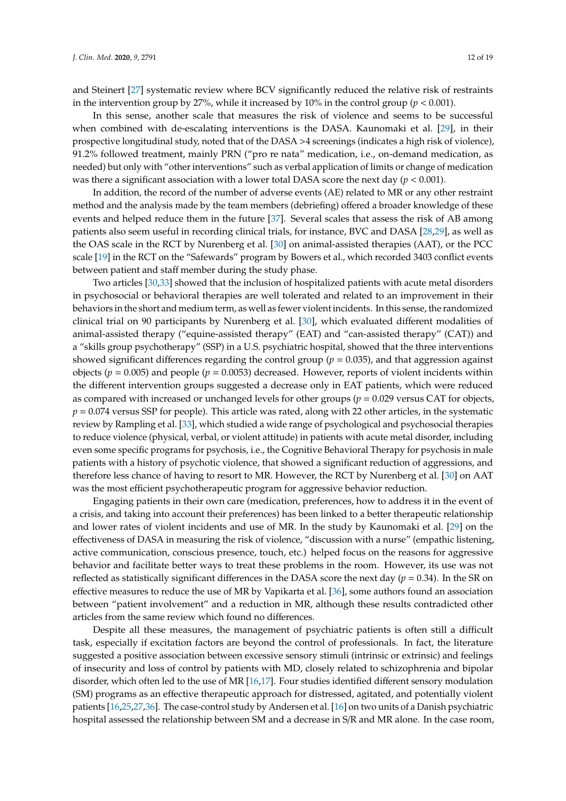and Steinert [\[27\]](#page-17-23) systematic review where BCV significantly reduced the relative risk of restraints in the intervention group by 27%, while it increased by 10% in the control group ( $p < 0.001$ ).

In this sense, another scale that measures the risk of violence and seems to be successful when combined with de-escalating interventions is the DASA. Kaunomaki et al. [\[29\]](#page-17-25), in their prospective longitudinal study, noted that of the DASA >4 screenings (indicates a high risk of violence), 91.2% followed treatment, mainly PRN ("pro re nata" medication, i.e., on-demand medication, as needed) but only with "other interventions" such as verbal application of limits or change of medication was there a significant association with a lower total DASA score the next day (*p* < 0.001).

In addition, the record of the number of adverse events (AE) related to MR or any other restraint method and the analysis made by the team members (debriefing) offered a broader knowledge of these events and helped reduce them in the future [\[37\]](#page-18-13). Several scales that assess the risk of AB among patients also seem useful in recording clinical trials, for instance, BVC and DASA [\[28](#page-17-24)[,29\]](#page-17-25), as well as the OAS scale in the RCT by Nurenberg et al. [\[30\]](#page-17-26) on animal-assisted therapies (AAT), or the PCC scale [\[19\]](#page-17-19) in the RCT on the "Safewards" program by Bowers et al., which recorded 3403 conflict events between patient and staff member during the study phase.

Two articles [\[30,](#page-17-26)[33\]](#page-18-9) showed that the inclusion of hospitalized patients with acute metal disorders in psychosocial or behavioral therapies are well tolerated and related to an improvement in their behaviors in the short and medium term, as well as fewer violent incidents. In this sense, the randomized clinical trial on 90 participants by Nurenberg et al. [\[30\]](#page-17-26), which evaluated different modalities of animal-assisted therapy ("equine-assisted therapy" (EAT) and "can-assisted therapy" (CAT)) and a "skills group psychotherapy" (SSP) in a U.S. psychiatric hospital, showed that the three interventions showed significant differences regarding the control group ( $p = 0.035$ ), and that aggression against objects (*p* = 0.005) and people (*p* = 0.0053) decreased. However, reports of violent incidents within the different intervention groups suggested a decrease only in EAT patients, which were reduced as compared with increased or unchanged levels for other groups (*p* = 0.029 versus CAT for objects,  $p = 0.074$  versus SSP for people). This article was rated, along with 22 other articles, in the systematic review by Rampling et al. [\[33\]](#page-18-9), which studied a wide range of psychological and psychosocial therapies to reduce violence (physical, verbal, or violent attitude) in patients with acute metal disorder, including even some specific programs for psychosis, i.e., the Cognitive Behavioral Therapy for psychosis in male patients with a history of psychotic violence, that showed a significant reduction of aggressions, and therefore less chance of having to resort to MR. However, the RCT by Nurenberg et al. [\[30\]](#page-17-26) on AAT was the most efficient psychotherapeutic program for aggressive behavior reduction.

Engaging patients in their own care (medication, preferences, how to address it in the event of a crisis, and taking into account their preferences) has been linked to a better therapeutic relationship and lower rates of violent incidents and use of MR. In the study by Kaunomaki et al. [\[29\]](#page-17-25) on the effectiveness of DASA in measuring the risk of violence, "discussion with a nurse" (empathic listening, active communication, conscious presence, touch, etc.) helped focus on the reasons for aggressive behavior and facilitate better ways to treat these problems in the room. However, its use was not reflected as statistically significant differences in the DASA score the next day (*p* = 0.34). In the SR on effective measures to reduce the use of MR by Vapikarta et al. [\[36\]](#page-18-0), some authors found an association between "patient involvement" and a reduction in MR, although these results contradicted other articles from the same review which found no differences.

Despite all these measures, the management of psychiatric patients is often still a difficult task, especially if excitation factors are beyond the control of professionals. In fact, the literature suggested a positive association between excessive sensory stimuli (intrinsic or extrinsic) and feelings of insecurity and loss of control by patients with MD, closely related to schizophrenia and bipolar disorder, which often led to the use of MR [\[16,](#page-17-1)[17\]](#page-17-18). Four studies identified different sensory modulation (SM) programs as an effective therapeutic approach for distressed, agitated, and potentially violent patients [\[16,](#page-17-1)[25,](#page-17-29)[27,](#page-17-23)[36\]](#page-18-0). The case-control study by Andersen et al. [\[16\]](#page-17-1) on two units of a Danish psychiatric hospital assessed the relationship between SM and a decrease in S/R and MR alone. In the case room,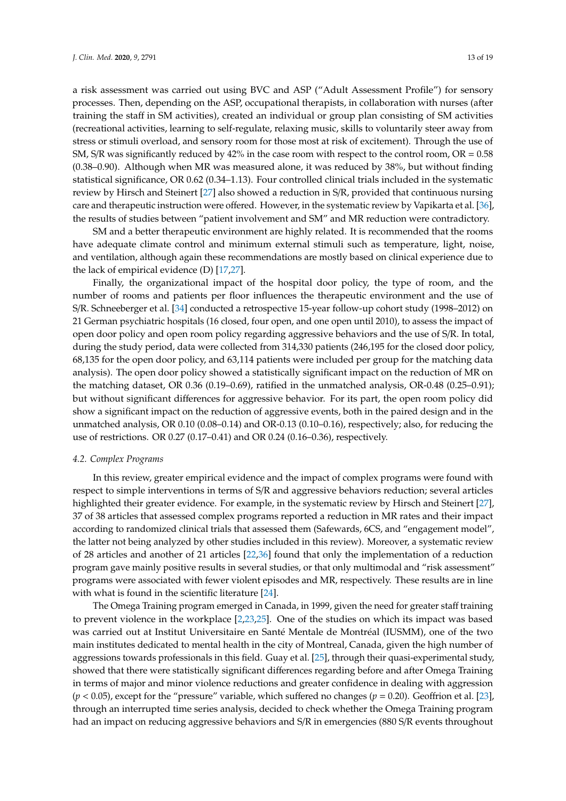a risk assessment was carried out using BVC and ASP ("Adult Assessment Profile") for sensory processes. Then, depending on the ASP, occupational therapists, in collaboration with nurses (after training the staff in SM activities), created an individual or group plan consisting of SM activities (recreational activities, learning to self-regulate, relaxing music, skills to voluntarily steer away from stress or stimuli overload, and sensory room for those most at risk of excitement). Through the use of SM, S/R was significantly reduced by 42% in the case room with respect to the control room, OR = 0.58 (0.38–0.90). Although when MR was measured alone, it was reduced by 38%, but without finding statistical significance, OR 0.62 (0.34–1.13). Four controlled clinical trials included in the systematic review by Hirsch and Steinert [\[27\]](#page-17-23) also showed a reduction in S/R, provided that continuous nursing care and therapeutic instruction were offered. However, in the systematic review by Vapikarta et al. [\[36\]](#page-18-0), the results of studies between "patient involvement and SM" and MR reduction were contradictory.

SM and a better therapeutic environment are highly related. It is recommended that the rooms have adequate climate control and minimum external stimuli such as temperature, light, noise, and ventilation, although again these recommendations are mostly based on clinical experience due to the lack of empirical evidence (D) [\[17](#page-17-18)[,27\]](#page-17-23).

Finally, the organizational impact of the hospital door policy, the type of room, and the number of rooms and patients per floor influences the therapeutic environment and the use of S/R. Schneeberger et al. [\[34\]](#page-18-10) conducted a retrospective 15-year follow-up cohort study (1998–2012) on 21 German psychiatric hospitals (16 closed, four open, and one open until 2010), to assess the impact of open door policy and open room policy regarding aggressive behaviors and the use of S/R. In total, during the study period, data were collected from 314,330 patients (246,195 for the closed door policy, 68,135 for the open door policy, and 63,114 patients were included per group for the matching data analysis). The open door policy showed a statistically significant impact on the reduction of MR on the matching dataset, OR 0.36 (0.19–0.69), ratified in the unmatched analysis, OR-0.48 (0.25–0.91); but without significant differences for aggressive behavior. For its part, the open room policy did show a significant impact on the reduction of aggressive events, both in the paired design and in the unmatched analysis, OR 0.10 (0.08–0.14) and OR-0.13 (0.10–0.16), respectively; also, for reducing the use of restrictions. OR 0.27 (0.17–0.41) and OR 0.24 (0.16–0.36), respectively.

#### *4.2. Complex Programs*

In this review, greater empirical evidence and the impact of complex programs were found with respect to simple interventions in terms of S/R and aggressive behaviors reduction; several articles highlighted their greater evidence. For example, in the systematic review by Hirsch and Steinert [\[27\]](#page-17-23), 37 of 38 articles that assessed complex programs reported a reduction in MR rates and their impact according to randomized clinical trials that assessed them (Safewards, 6CS, and "engagement model", the latter not being analyzed by other studies included in this review). Moreover, a systematic review of 28 articles and another of 21 articles [\[22](#page-17-21)[,36\]](#page-18-0) found that only the implementation of a reduction program gave mainly positive results in several studies, or that only multimodal and "risk assessment" programs were associated with fewer violent episodes and MR, respectively. These results are in line with what is found in the scientific literature [\[24\]](#page-17-22).

The Omega Training program emerged in Canada, in 1999, given the need for greater staff training to prevent violence in the workplace [\[2,](#page-16-1)[23,](#page-17-28)[25\]](#page-17-29). One of the studies on which its impact was based was carried out at Institut Universitaire en Santé Mentale de Montréal (IUSMM), one of the two main institutes dedicated to mental health in the city of Montreal, Canada, given the high number of aggressions towards professionals in this field. Guay et al. [\[25\]](#page-17-29), through their quasi-experimental study, showed that there were statistically significant differences regarding before and after Omega Training in terms of major and minor violence reductions and greater confidence in dealing with aggression (*p* < 0.05), except for the "pressure" variable, which suffered no changes (*p* = 0.20). Geoffrion et al. [\[23\]](#page-17-28), through an interrupted time series analysis, decided to check whether the Omega Training program had an impact on reducing aggressive behaviors and S/R in emergencies (880 S/R events throughout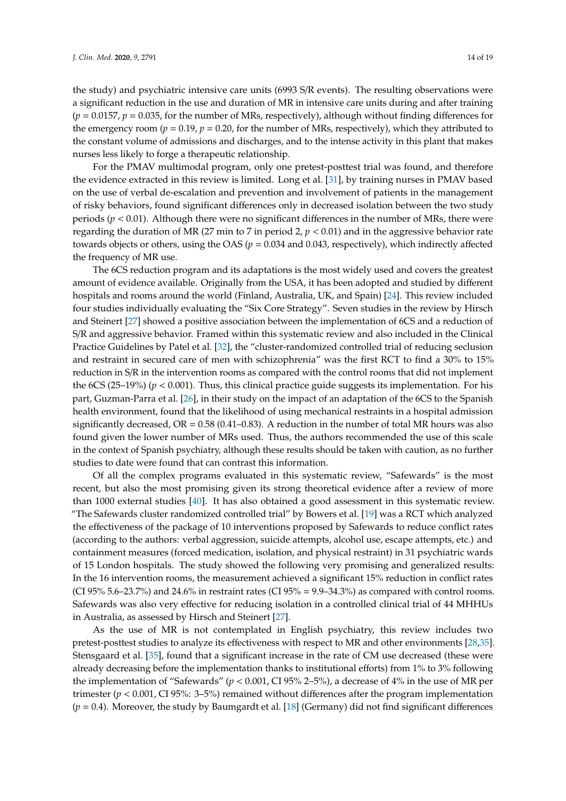the study) and psychiatric intensive care units (6993 S/R events). The resulting observations were a significant reduction in the use and duration of MR in intensive care units during and after training  $(p = 0.0157, p = 0.035,$  for the number of MRs, respectively), although without finding differences for the emergency room ( $p = 0.19$ ,  $p = 0.20$ , for the number of MRs, respectively), which they attributed to the constant volume of admissions and discharges, and to the intense activity in this plant that makes nurses less likely to forge a therapeutic relationship.

For the PMAV multimodal program, only one pretest-posttest trial was found, and therefore the evidence extracted in this review is limited. Long et al. [\[31\]](#page-17-31), by training nurses in PMAV based on the use of verbal de-escalation and prevention and involvement of patients in the management of risky behaviors, found significant differences only in decreased isolation between the two study periods ( $p < 0.01$ ). Although there were no significant differences in the number of MRs, there were regarding the duration of MR (27 min to 7 in period 2,  $p < 0.01$ ) and in the aggressive behavior rate towards objects or others, using the OAS ( $p = 0.034$  and 0.043, respectively), which indirectly affected the frequency of MR use.

The 6CS reduction program and its adaptations is the most widely used and covers the greatest amount of evidence available. Originally from the USA, it has been adopted and studied by different hospitals and rooms around the world (Finland, Australia, UK, and Spain) [\[24\]](#page-17-22). This review included four studies individually evaluating the "Six Core Strategy". Seven studies in the review by Hirsch and Steinert [\[27\]](#page-17-23) showed a positive association between the implementation of 6CS and a reduction of S/R and aggressive behavior. Framed within this systematic review and also included in the Clinical Practice Guidelines by Patel et al. [\[32\]](#page-18-12), the "cluster-randomized controlled trial of reducing seclusion and restraint in secured care of men with schizophrenia" was the first RCT to find a 30% to 15% reduction in S/R in the intervention rooms as compared with the control rooms that did not implement the 6CS (25–19%) ( $p < 0.001$ ). Thus, this clinical practice guide suggests its implementation. For his part, Guzman-Parra et al. [\[26\]](#page-17-30), in their study on the impact of an adaptation of the 6CS to the Spanish health environment, found that the likelihood of using mechanical restraints in a hospital admission significantly decreased,  $OR = 0.58$  (0.41–0.83). A reduction in the number of total MR hours was also found given the lower number of MRs used. Thus, the authors recommended the use of this scale in the context of Spanish psychiatry, although these results should be taken with caution, as no further studies to date were found that can contrast this information.

Of all the complex programs evaluated in this systematic review, "Safewards" is the most recent, but also the most promising given its strong theoretical evidence after a review of more than 1000 external studies [\[40\]](#page-18-14). It has also obtained a good assessment in this systematic review. "The Safewards cluster randomized controlled trial" by Bowers et al. [\[19\]](#page-17-19) was a RCT which analyzed the effectiveness of the package of 10 interventions proposed by Safewards to reduce conflict rates (according to the authors: verbal aggression, suicide attempts, alcohol use, escape attempts, etc.) and containment measures (forced medication, isolation, and physical restraint) in 31 psychiatric wards of 15 London hospitals. The study showed the following very promising and generalized results: In the 16 intervention rooms, the measurement achieved a significant 15% reduction in conflict rates (CI 95% 5.6–23.7%) and 24.6% in restraint rates (CI 95% =  $9.9-34.3%$ ) as compared with control rooms. Safewards was also very effective for reducing isolation in a controlled clinical trial of 44 MHHUs in Australia, as assessed by Hirsch and Steinert [\[27\]](#page-17-23).

As the use of MR is not contemplated in English psychiatry, this review includes two pretest-posttest studies to analyze its effectiveness with respect to MR and other environments [\[28](#page-17-24)[,35\]](#page-18-11). Stensgaard et al. [\[35\]](#page-18-11), found that a significant increase in the rate of CM use decreased (these were already decreasing before the implementation thanks to institutional efforts) from 1% to 3% following the implementation of "Safewards" (*p* < 0.001, CI 95% 2–5%), a decrease of 4% in the use of MR per trimester (*p* < 0.001, CI 95%: 3–5%) remained without differences after the program implementation  $(p = 0.4)$ . Moreover, the study by Baumgardt et al. [\[18\]](#page-17-27) (Germany) did not find significant differences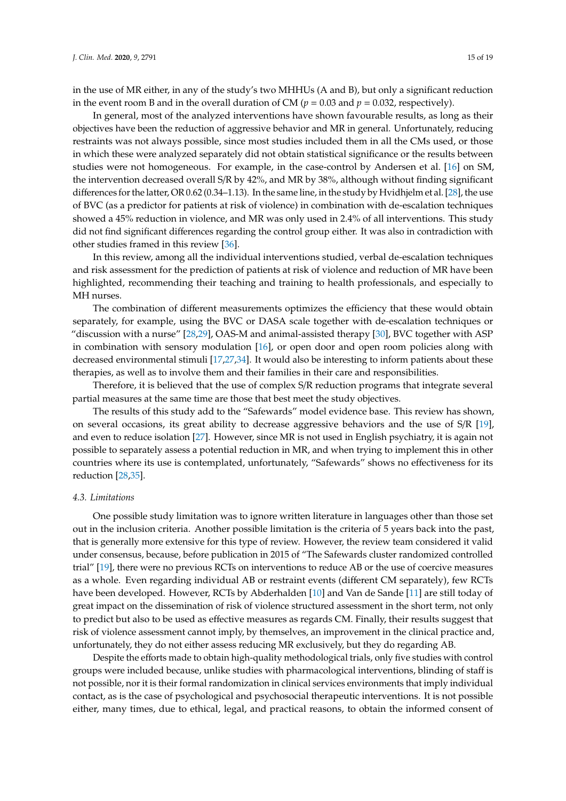in the use of MR either, in any of the study's two MHHUs (A and B), but only a significant reduction in the event room B and in the overall duration of CM ( $p = 0.03$  and  $p = 0.032$ , respectively).

In general, most of the analyzed interventions have shown favourable results, as long as their objectives have been the reduction of aggressive behavior and MR in general. Unfortunately, reducing restraints was not always possible, since most studies included them in all the CMs used, or those in which these were analyzed separately did not obtain statistical significance or the results between studies were not homogeneous. For example, in the case-control by Andersen et al. [\[16\]](#page-17-1) on SM, the intervention decreased overall S/R by 42%, and MR by 38%, although without finding significant differences for the latter, OR 0.62 (0.34–1.13). In the same line, in the study by Hvidhjelm et al. [\[28\]](#page-17-24), the use of BVC (as a predictor for patients at risk of violence) in combination with de-escalation techniques showed a 45% reduction in violence, and MR was only used in 2.4% of all interventions. This study did not find significant differences regarding the control group either. It was also in contradiction with other studies framed in this review [\[36\]](#page-18-0).

In this review, among all the individual interventions studied, verbal de-escalation techniques and risk assessment for the prediction of patients at risk of violence and reduction of MR have been highlighted, recommending their teaching and training to health professionals, and especially to MH nurses.

The combination of different measurements optimizes the efficiency that these would obtain separately, for example, using the BVC or DASA scale together with de-escalation techniques or "discussion with a nurse" [\[28](#page-17-24)[,29\]](#page-17-25), OAS-M and animal-assisted therapy [\[30\]](#page-17-26), BVC together with ASP in combination with sensory modulation [\[16\]](#page-17-1), or open door and open room policies along with decreased environmental stimuli [\[17,](#page-17-18)[27,](#page-17-23)[34\]](#page-18-10). It would also be interesting to inform patients about these therapies, as well as to involve them and their families in their care and responsibilities.

Therefore, it is believed that the use of complex S/R reduction programs that integrate several partial measures at the same time are those that best meet the study objectives.

The results of this study add to the "Safewards" model evidence base. This review has shown, on several occasions, its great ability to decrease aggressive behaviors and the use of S/R [\[19\]](#page-17-19), and even to reduce isolation [\[27\]](#page-17-23). However, since MR is not used in English psychiatry, it is again not possible to separately assess a potential reduction in MR, and when trying to implement this in other countries where its use is contemplated, unfortunately, "Safewards" shows no effectiveness for its reduction [\[28,](#page-17-24)[35\]](#page-18-11).

### <span id="page-14-0"></span>*4.3. Limitations*

One possible study limitation was to ignore written literature in languages other than those set out in the inclusion criteria. Another possible limitation is the criteria of 5 years back into the past, that is generally more extensive for this type of review. However, the review team considered it valid under consensus, because, before publication in 2015 of "The Safewards cluster randomized controlled trial" [\[19\]](#page-17-19), there were no previous RCTs on interventions to reduce AB or the use of coercive measures as a whole. Even regarding individual AB or restraint events (different CM separately), few RCTs have been developed. However, RCTs by Abderhalden [\[10\]](#page-16-9) and Van de Sande [\[11\]](#page-16-10) are still today of great impact on the dissemination of risk of violence structured assessment in the short term, not only to predict but also to be used as effective measures as regards CM. Finally, their results suggest that risk of violence assessment cannot imply, by themselves, an improvement in the clinical practice and, unfortunately, they do not either assess reducing MR exclusively, but they do regarding AB.

Despite the efforts made to obtain high-quality methodological trials, only five studies with control groups were included because, unlike studies with pharmacological interventions, blinding of staff is not possible, nor it is their formal randomization in clinical services environments that imply individual contact, as is the case of psychological and psychosocial therapeutic interventions. It is not possible either, many times, due to ethical, legal, and practical reasons, to obtain the informed consent of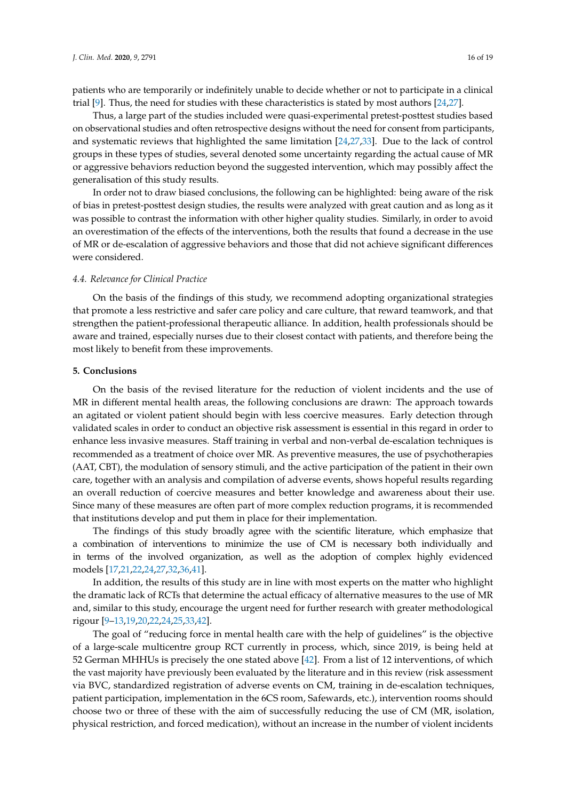patients who are temporarily or indefinitely unable to decide whether or not to participate in a clinical trial [\[9\]](#page-16-8). Thus, the need for studies with these characteristics is stated by most authors [\[24](#page-17-22)[,27\]](#page-17-23).

Thus, a large part of the studies included were quasi-experimental pretest-posttest studies based on observational studies and often retrospective designs without the need for consent from participants, and systematic reviews that highlighted the same limitation  $[24,27,33]$  $[24,27,33]$  $[24,27,33]$ . Due to the lack of control groups in these types of studies, several denoted some uncertainty regarding the actual cause of MR or aggressive behaviors reduction beyond the suggested intervention, which may possibly affect the generalisation of this study results.

In order not to draw biased conclusions, the following can be highlighted: being aware of the risk of bias in pretest-posttest design studies, the results were analyzed with great caution and as long as it was possible to contrast the information with other higher quality studies. Similarly, in order to avoid an overestimation of the effects of the interventions, both the results that found a decrease in the use of MR or de-escalation of aggressive behaviors and those that did not achieve significant differences were considered.

#### *4.4. Relevance for Clinical Practice*

On the basis of the findings of this study, we recommend adopting organizational strategies that promote a less restrictive and safer care policy and care culture, that reward teamwork, and that strengthen the patient-professional therapeutic alliance. In addition, health professionals should be aware and trained, especially nurses due to their closest contact with patients, and therefore being the most likely to benefit from these improvements.

# **5. Conclusions**

On the basis of the revised literature for the reduction of violent incidents and the use of MR in different mental health areas, the following conclusions are drawn: The approach towards an agitated or violent patient should begin with less coercive measures. Early detection through validated scales in order to conduct an objective risk assessment is essential in this regard in order to enhance less invasive measures. Staff training in verbal and non-verbal de-escalation techniques is recommended as a treatment of choice over MR. As preventive measures, the use of psychotherapies (AAT, CBT), the modulation of sensory stimuli, and the active participation of the patient in their own care, together with an analysis and compilation of adverse events, shows hopeful results regarding an overall reduction of coercive measures and better knowledge and awareness about their use. Since many of these measures are often part of more complex reduction programs, it is recommended that institutions develop and put them in place for their implementation.

The findings of this study broadly agree with the scientific literature, which emphasize that a combination of interventions to minimize the use of CM is necessary both individually and in terms of the involved organization, as well as the adoption of complex highly evidenced models [\[17,](#page-17-18)[21](#page-17-17)[,22](#page-17-21)[,24](#page-17-22)[,27](#page-17-23)[,32](#page-18-12)[,36,](#page-18-0)[41\]](#page-18-15).

In addition, the results of this study are in line with most experts on the matter who highlight the dramatic lack of RCTs that determine the actual efficacy of alternative measures to the use of MR and, similar to this study, encourage the urgent need for further research with greater methodological rigour [\[9](#page-16-8)[–13,](#page-16-12)[19](#page-17-19)[,20](#page-17-20)[,22](#page-17-21)[,24](#page-17-22)[,25](#page-17-29)[,33,](#page-18-9)[42\]](#page-18-16).

The goal of "reducing force in mental health care with the help of guidelines" is the objective of a large-scale multicentre group RCT currently in process, which, since 2019, is being held at 52 German MHHUs is precisely the one stated above [\[42\]](#page-18-16). From a list of 12 interventions, of which the vast majority have previously been evaluated by the literature and in this review (risk assessment via BVC, standardized registration of adverse events on CM, training in de-escalation techniques, patient participation, implementation in the 6CS room, Safewards, etc.), intervention rooms should choose two or three of these with the aim of successfully reducing the use of CM (MR, isolation, physical restriction, and forced medication), without an increase in the number of violent incidents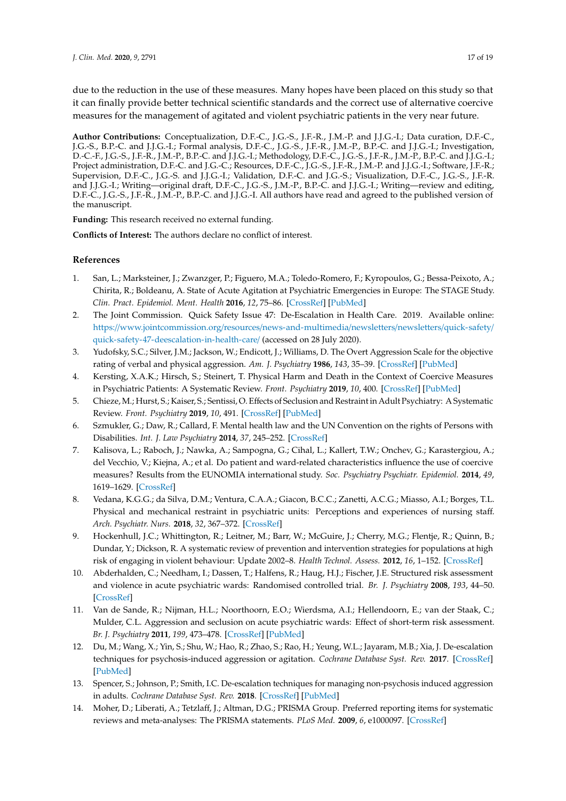due to the reduction in the use of these measures. Many hopes have been placed on this study so that it can finally provide better technical scientific standards and the correct use of alternative coercive measures for the management of agitated and violent psychiatric patients in the very near future.

**Author Contributions:** Conceptualization, D.F.-C., J.G.-S., J.F.-R., J.M.-P. and J.J.G.-I.; Data curation, D.F.-C., J.G.-S., B.P.-C. and J.J.G.-I.; Formal analysis, D.F.-C., J.G.-S., J.F.-R., J.M.-P., B.P.-C. and J.J.G.-I.; Investigation, D.-C.-F., J.G.-S., J.F.-R., J.M.-P., B.P.-C. and J.J.G.-I.; Methodology, D.F.-C., J.G.-S., J.F.-R., J.M.-P., B.P.-C. and J.J.G.-I.; Project administration, D.F.-C. and J.G.-C.; Resources, D.F.-C., J.G.-S., J.F.-R., J.M.-P. and J.J.G.-I.; Software, J.F.-R.; Supervision, D.F.-C., J.G.-S. and J.J.G.-I.; Validation, D.F.-C. and J.G.-S.; Visualization, D.F.-C., J.G.-S., J.F.-R. and J.J.G.-I.; Writing—original draft, D.F.-C., J.G.-S., J.M.-P., B.P.-C. and J.J.G.-I.; Writing—review and editing, D.F.-C., J.G.-S., J.F.-R., J.M.-P., B.P.-C. and J.J.G.-I. All authors have read and agreed to the published version of the manuscript.

**Funding:** This research received no external funding.

**Conflicts of Interest:** The authors declare no conflict of interest.

# **References**

- <span id="page-16-0"></span>1. San, L.; Marksteiner, J.; Zwanzger, P.; Figuero, M.A.; Toledo-Romero, F.; Kyropoulos, G.; Bessa-Peixoto, A.; Chirita, R.; Boldeanu, A. State of Acute Agitation at Psychiatric Emergencies in Europe: The STAGE Study. *Clin. Pract. Epidemiol. Ment. Health* **2016**, *12*, 75–86. [\[CrossRef\]](http://dx.doi.org/10.2174/1745017901612010075) [\[PubMed\]](http://www.ncbi.nlm.nih.gov/pubmed/27857778)
- <span id="page-16-1"></span>2. The Joint Commission. Quick Safety Issue 47: De-Escalation in Health Care. 2019. Available online: https://[www.jointcommission.org](https://www.jointcommission.org/resources/news-and-multimedia/newsletters/newsletters/quick-safety/quick-safety-47-deescalation-in-health-care/)/resources/news-and-multimedia/newsletters/newsletters/quick-safety/ [quick-safety-47-deescalation-in-health-care](https://www.jointcommission.org/resources/news-and-multimedia/newsletters/newsletters/quick-safety/quick-safety-47-deescalation-in-health-care/)/ (accessed on 28 July 2020).
- <span id="page-16-2"></span>3. Yudofsky, S.C.; Silver, J.M.; Jackson, W.; Endicott, J.; Williams, D. The Overt Aggression Scale for the objective rating of verbal and physical aggression. *Am. J. Psychiatry* **1986**, *143*, 35–39. [\[CrossRef\]](http://dx.doi.org/10.1176/ajp.143.1.35) [\[PubMed\]](http://www.ncbi.nlm.nih.gov/pubmed/3942284)
- <span id="page-16-3"></span>4. Kersting, X.A.K.; Hirsch, S.; Steinert, T. Physical Harm and Death in the Context of Coercive Measures in Psychiatric Patients: A Systematic Review. *Front. Psychiatry* **2019**, *10*, 400. [\[CrossRef\]](http://dx.doi.org/10.3389/fpsyt.2019.00400) [\[PubMed\]](http://www.ncbi.nlm.nih.gov/pubmed/31244695)
- <span id="page-16-4"></span>5. Chieze, M.; Hurst, S.; Kaiser, S.; Sentissi, O. Effects of Seclusion and Restraint in Adult Psychiatry: A Systematic Review. *Front. Psychiatry* **2019**, *10*, 491. [\[CrossRef\]](http://dx.doi.org/10.3389/fpsyt.2019.00491) [\[PubMed\]](http://www.ncbi.nlm.nih.gov/pubmed/31404294)
- <span id="page-16-5"></span>6. Szmukler, G.; Daw, R.; Callard, F. Mental health law and the UN Convention on the rights of Persons with Disabilities. *Int. J. Law Psychiatry* **2014**, *37*, 245–252. [\[CrossRef\]](http://dx.doi.org/10.1016/j.ijlp.2013.11.024)
- <span id="page-16-6"></span>7. Kalisova, L.; Raboch, J.; Nawka, A.; Sampogna, G.; Cihal, L.; Kallert, T.W.; Onchev, G.; Karastergiou, A.; del Vecchio, V.; Kiejna, A.; et al. Do patient and ward-related characteristics influence the use of coercive measures? Results from the EUNOMIA international study. *Soc. Psychiatry Psychiatr. Epidemiol.* **2014**, *49*, 1619–1629. [\[CrossRef\]](http://dx.doi.org/10.1007/s00127-014-0872-6)
- <span id="page-16-7"></span>8. Vedana, K.G.G.; da Silva, D.M.; Ventura, C.A.A.; Giacon, B.C.C.; Zanetti, A.C.G.; Miasso, A.I.; Borges, T.L. Physical and mechanical restraint in psychiatric units: Perceptions and experiences of nursing staff. *Arch. Psychiatr. Nurs.* **2018**, *32*, 367–372. [\[CrossRef\]](http://dx.doi.org/10.1016/j.apnu.2017.11.027)
- <span id="page-16-8"></span>9. Hockenhull, J.C.; Whittington, R.; Leitner, M.; Barr, W.; McGuire, J.; Cherry, M.G.; Flentje, R.; Quinn, B.; Dundar, Y.; Dickson, R. A systematic review of prevention and intervention strategies for populations at high risk of engaging in violent behaviour: Update 2002–8. *Health Technol. Assess.* **2012**, *16*, 1–152. [\[CrossRef\]](http://dx.doi.org/10.3310/hta16030)
- <span id="page-16-9"></span>10. Abderhalden, C.; Needham, I.; Dassen, T.; Halfens, R.; Haug, H.J.; Fischer, J.E. Structured risk assessment and violence in acute psychiatric wards: Randomised controlled trial. *Br. J. Psychiatry* **2008**, *193*, 44–50. [\[CrossRef\]](http://dx.doi.org/10.1192/bjp.bp.107.045534)
- <span id="page-16-10"></span>11. Van de Sande, R.; Nijman, H.L.; Noorthoorn, E.O.; Wierdsma, A.I.; Hellendoorn, E.; van der Staak, C.; Mulder, C.L. Aggression and seclusion on acute psychiatric wards: Effect of short-term risk assessment. *Br. J. Psychiatry* **2011**, *199*, 473–478. [\[CrossRef\]](http://dx.doi.org/10.1192/bjp.bp.111.095141) [\[PubMed\]](http://www.ncbi.nlm.nih.gov/pubmed/22016437)
- <span id="page-16-11"></span>12. Du, M.; Wang, X.; Yin, S.; Shu, W.; Hao, R.; Zhao, S.; Rao, H.; Yeung, W.L.; Jayaram, M.B.; Xia, J. De-escalation techniques for psychosis-induced aggression or agitation. *Cochrane Database Syst. Rev.* **2017**. [\[CrossRef\]](http://dx.doi.org/10.1002/14651858.CD009922.pub2) [\[PubMed\]](http://www.ncbi.nlm.nih.gov/pubmed/28368091)
- <span id="page-16-12"></span>13. Spencer, S.; Johnson, P.; Smith, I.C. De-escalation techniques for managing non-psychosis induced aggression in adults. *Cochrane Database Syst. Rev.* **2018**. [\[CrossRef\]](http://dx.doi.org/10.1002/14651858.CD012034.pub2) [\[PubMed\]](http://www.ncbi.nlm.nih.gov/pubmed/30019748)
- <span id="page-16-13"></span>14. Moher, D.; Liberati, A.; Tetzlaff, J.; Altman, D.G.; PRISMA Group. Preferred reporting items for systematic reviews and meta-analyses: The PRISMA statements. *PLoS Med.* **2009**, *6*, e1000097. [\[CrossRef\]](http://dx.doi.org/10.1371/journal.pmed.1000097)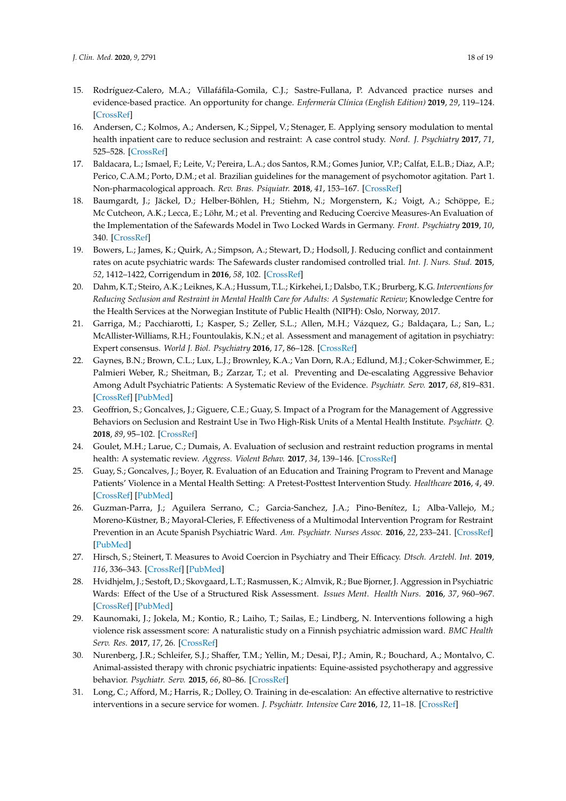- <span id="page-17-14"></span><span id="page-17-13"></span><span id="page-17-12"></span><span id="page-17-4"></span><span id="page-17-3"></span><span id="page-17-2"></span><span id="page-17-0"></span>15. Rodríguez-Calero, M.A.; Villafáfila-Gomila, C.J.; Sastre-Fullana, P. Advanced practice nurses and evidence-based practice. An opportunity for change. *Enfermería Clínica (English Edition)* **2019**, *29*, 119–124. [\[CrossRef\]](http://dx.doi.org/10.1016/j.enfcle.2018.12.005)
- <span id="page-17-15"></span><span id="page-17-1"></span>16. Andersen, C.; Kolmos, A.; Andersen, K.; Sippel, V.; Stenager, E. Applying sensory modulation to mental health inpatient care to reduce seclusion and restraint: A case control study. *Nord. J. Psychiatry* **2017**, *71*, 525–528. [\[CrossRef\]](http://dx.doi.org/10.1080/08039488.2017.1346142)
- <span id="page-17-18"></span><span id="page-17-5"></span>17. Baldacara, L.; Ismael, F.; Leite, V.; Pereira, L.A.; dos Santos, R.M.; Gomes Junior, V.P.; Calfat, E.L.B.; Diaz, A.P.; Perico, C.A.M.; Porto, D.M.; et al. Brazilian guidelines for the management of psychomotor agitation. Part 1. Non-pharmacological approach. *Rev. Bras. Psiquiatr.* **2018**, *41*, 153–167. [\[CrossRef\]](http://dx.doi.org/10.1590/1516-4446-2018-0163)
- <span id="page-17-27"></span><span id="page-17-16"></span>18. Baumgardt, J.; Jäckel, D.; Helber-Böhlen, H.; Stiehm, N.; Morgenstern, K.; Voigt, A.; Schöppe, E.; Mc Cutcheon, A.K.; Lecca, E.; Löhr, M.; et al. Preventing and Reducing Coercive Measures-An Evaluation of the Implementation of the Safewards Model in Two Locked Wards in Germany. *Front. Psychiatry* **2019**, *10*, 340. [\[CrossRef\]](http://dx.doi.org/10.3389/fpsyt.2019.00340)
- <span id="page-17-19"></span><span id="page-17-6"></span>19. Bowers, L.; James, K.; Quirk, A.; Simpson, A.; Stewart, D.; Hodsoll, J. Reducing conflict and containment rates on acute psychiatric wards: The Safewards cluster randomised controlled trial. *Int. J. Nurs. Stud.* **2015**, *52*, 1412–1422, Corrigendum in **2016**, *58*, 102. [\[CrossRef\]](http://dx.doi.org/10.1016/j.ijnurstu.2015.05.001)
- <span id="page-17-20"></span><span id="page-17-7"></span>20. Dahm, K.T.; Steiro, A.K.; Leiknes, K.A.; Hussum, T.L.; Kirkehei, I.; Dalsbo, T.K.; Brurberg, K.G. *Interventions for Reducing Seclusion and Restraint in Mental Health Care for Adults: A Systematic Review*; Knowledge Centre for the Health Services at the Norwegian Institute of Public Health (NIPH): Oslo, Norway, 2017.
- <span id="page-17-17"></span>21. Garriga, M.; Pacchiarotti, I.; Kasper, S.; Zeller, S.L.; Allen, M.H.; Vázquez, G.; Baldaçara, L.; San, L.; McAllister-Williams, R.H.; Fountoulakis, K.N.; et al. Assessment and management of agitation in psychiatry: Expert consensus. *World J. Biol. Psychiatry* **2016**, *17*, 86–128. [\[CrossRef\]](http://dx.doi.org/10.3109/15622975.2015.1132007)
- <span id="page-17-21"></span><span id="page-17-9"></span><span id="page-17-8"></span>22. Gaynes, B.N.; Brown, C.L.; Lux, L.J.; Brownley, K.A.; Van Dorn, R.A.; Edlund, M.J.; Coker-Schwimmer, E.; Palmieri Weber, R.; Sheitman, B.; Zarzar, T.; et al. Preventing and De-escalating Aggressive Behavior Among Adult Psychiatric Patients: A Systematic Review of the Evidence. *Psychiatr. Serv.* **2017**, *68*, 819–831. [\[CrossRef\]](http://dx.doi.org/10.1176/appi.ps.201600314) [\[PubMed\]](http://www.ncbi.nlm.nih.gov/pubmed/28412887)
- <span id="page-17-28"></span><span id="page-17-10"></span>23. Geoffrion, S.; Goncalves, J.; Giguere, C.E.; Guay, S. Impact of a Program for the Management of Aggressive Behaviors on Seclusion and Restraint Use in Two High-Risk Units of a Mental Health Institute. *Psychiatr. Q.* **2018**, *89*, 95–102. [\[CrossRef\]](http://dx.doi.org/10.1007/s11126-017-9519-6)
- <span id="page-17-22"></span><span id="page-17-11"></span>24. Goulet, M.H.; Larue, C.; Dumais, A. Evaluation of seclusion and restraint reduction programs in mental health: A systematic review. *Aggress. Violent Behav.* **2017**, *34*, 139–146. [\[CrossRef\]](http://dx.doi.org/10.1016/j.avb.2017.01.019)
- <span id="page-17-29"></span>25. Guay, S.; Goncalves, J.; Boyer, R. Evaluation of an Education and Training Program to Prevent and Manage Patients' Violence in a Mental Health Setting: A Pretest-Posttest Intervention Study. *Healthcare* **2016**, *4*, 49. [\[CrossRef\]](http://dx.doi.org/10.3390/healthcare4030049) [\[PubMed\]](http://www.ncbi.nlm.nih.gov/pubmed/27490582)
- <span id="page-17-30"></span>26. Guzman-Parra, J.; Aguilera Serrano, C.; Garcia-Sanchez, J.A.; Pino-Benítez, I.; Alba-Vallejo, M.; Moreno-Küstner, B.; Mayoral-Cleries, F. Effectiveness of a Multimodal Intervention Program for Restraint Prevention in an Acute Spanish Psychiatric Ward. *Am. Psychiatr. Nurses Assoc.* **2016**, *22*, 233–241. [\[CrossRef\]](http://dx.doi.org/10.1177/1078390316644767) [\[PubMed\]](http://www.ncbi.nlm.nih.gov/pubmed/27122483)
- <span id="page-17-23"></span>27. Hirsch, S.; Steinert, T. Measures to Avoid Coercion in Psychiatry and Their Efficacy. *Dtsch. Arztebl. Int.* **2019**, *116*, 336–343. [\[CrossRef\]](http://dx.doi.org/10.3238/arztebl.2019.0336) [\[PubMed\]](http://www.ncbi.nlm.nih.gov/pubmed/31288909)
- <span id="page-17-24"></span>28. Hvidhjelm, J.; Sestoft, D.; Skovgaard, L.T.; Rasmussen, K.; Almvik, R.; Bue Bjorner, J. Aggression in Psychiatric Wards: Effect of the Use of a Structured Risk Assessment. *Issues Ment. Health Nurs.* **2016**, *37*, 960–967. [\[CrossRef\]](http://dx.doi.org/10.1080/01612840.2016.1241842) [\[PubMed\]](http://www.ncbi.nlm.nih.gov/pubmed/27901619)
- <span id="page-17-25"></span>29. Kaunomaki, J.; Jokela, M.; Kontio, R.; Laiho, T.; Sailas, E.; Lindberg, N. Interventions following a high violence risk assessment score: A naturalistic study on a Finnish psychiatric admission ward. *BMC Health Serv. Res.* **2017**, *17*, 26. [\[CrossRef\]](http://dx.doi.org/10.1186/s12913-016-1942-0)
- <span id="page-17-26"></span>30. Nurenberg, J.R.; Schleifer, S.J.; Shaffer, T.M.; Yellin, M.; Desai, P.J.; Amin, R.; Bouchard, A.; Montalvo, C. Animal-assisted therapy with chronic psychiatric inpatients: Equine-assisted psychotherapy and aggressive behavior. *Psychiatr. Serv.* **2015**, *66*, 80–86. [\[CrossRef\]](http://dx.doi.org/10.1176/appi.ps.201300524)
- <span id="page-17-31"></span>31. Long, C.; Afford, M.; Harris, R.; Dolley, O. Training in de-escalation: An effective alternative to restrictive interventions in a secure service for women. *J. Psychiatr. Intensive Care* **2016**, *12*, 11–18. [\[CrossRef\]](http://dx.doi.org/10.20299/jpi.2016.008)